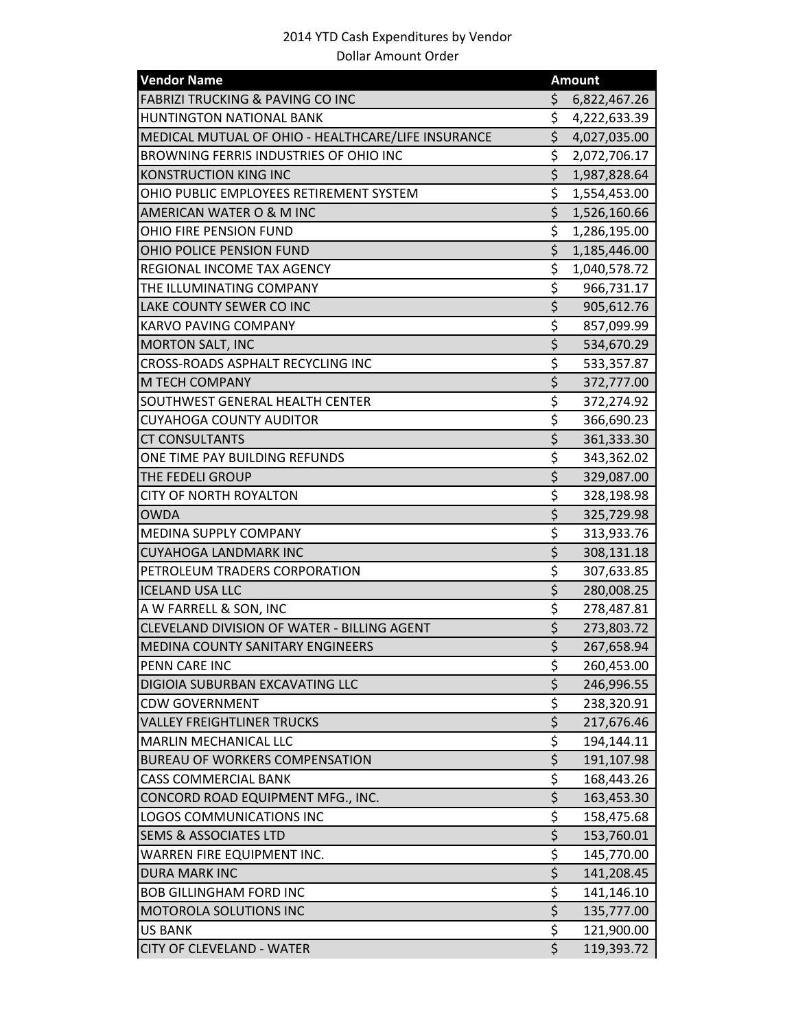| <b>Vendor Name</b>                                 | <b>Amount</b>                   |              |
|----------------------------------------------------|---------------------------------|--------------|
| <b>FABRIZI TRUCKING &amp; PAVING CO INC</b>        | \$                              | 6,822,467.26 |
| <b>HUNTINGTON NATIONAL BANK</b>                    | \$                              | 4,222,633.39 |
| MEDICAL MUTUAL OF OHIO - HEALTHCARE/LIFE INSURANCE | \$                              | 4,027,035.00 |
| BROWNING FERRIS INDUSTRIES OF OHIO INC             | \$                              | 2,072,706.17 |
| <b>KONSTRUCTION KING INC</b>                       | \$                              | 1,987,828.64 |
| OHIO PUBLIC EMPLOYEES RETIREMENT SYSTEM            | \$                              | 1,554,453.00 |
| AMERICAN WATER O & M INC                           | \$                              | 1,526,160.66 |
| OHIO FIRE PENSION FUND                             | \$                              | 1,286,195.00 |
| OHIO POLICE PENSION FUND                           | \$                              | 1,185,446.00 |
| REGIONAL INCOME TAX AGENCY                         | \$                              | 1,040,578.72 |
| THE ILLUMINATING COMPANY                           | \$                              | 966,731.17   |
| LAKE COUNTY SEWER CO INC                           | $\overline{\xi}$                | 905,612.76   |
| <b>KARVO PAVING COMPANY</b>                        | \$                              | 857,099.99   |
| <b>MORTON SALT, INC</b>                            | $\overline{\xi}$                | 534,670.29   |
| <b>CROSS-ROADS ASPHALT RECYCLING INC</b>           | \$                              | 533,357.87   |
| M TECH COMPANY                                     | \$                              | 372,777.00   |
| SOUTHWEST GENERAL HEALTH CENTER                    | \$                              | 372,274.92   |
| <b>CUYAHOGA COUNTY AUDITOR</b>                     | \$                              | 366,690.23   |
| <b>CT CONSULTANTS</b>                              | $\overline{\xi}$                | 361,333.30   |
| ONE TIME PAY BUILDING REFUNDS                      | \$                              | 343,362.02   |
| THE FEDELI GROUP                                   | $\overline{\xi}$                | 329,087.00   |
| <b>CITY OF NORTH ROYALTON</b>                      | \$                              | 328,198.98   |
| <b>OWDA</b>                                        | \$                              | 325,729.98   |
| MEDINA SUPPLY COMPANY                              | \$                              | 313,933.76   |
| <b>CUYAHOGA LANDMARK INC</b>                       | \$                              | 308,131.18   |
| PETROLEUM TRADERS CORPORATION                      | \$                              | 307,633.85   |
| <b>ICELAND USA LLC</b>                             | \$                              | 280,008.25   |
| A W FARRELL & SON, INC                             | $\overline{\xi}$                | 278,487.81   |
| CLEVELAND DIVISION OF WATER - BILLING AGENT        | \$                              | 273,803.72   |
| <b>MEDINA COUNTY SANITARY ENGINEERS</b>            | $\overline{\boldsymbol{\zeta}}$ | 267,658.94   |
| PENN CARE INC                                      | \$                              | 260,453.00   |
| DIGIOIA SUBURBAN EXCAVATING LLC                    | \$                              | 246,996.55   |
| <b>CDW GOVERNMENT</b>                              | \$                              | 238,320.91   |
| <b>VALLEY FREIGHTLINER TRUCKS</b>                  | \$                              | 217,676.46   |
| <b>MARLIN MECHANICAL LLC</b>                       | $\overline{\xi}$                | 194,144.11   |
| <b>BUREAU OF WORKERS COMPENSATION</b>              | \$                              | 191,107.98   |
| <b>CASS COMMERCIAL BANK</b>                        | \$                              | 168,443.26   |
| CONCORD ROAD EQUIPMENT MFG., INC.                  | $\overline{\xi}$                | 163,453.30   |
| <b>LOGOS COMMUNICATIONS INC</b>                    | \$                              | 158,475.68   |
| <b>SEMS &amp; ASSOCIATES LTD</b>                   | \$                              | 153,760.01   |
| WARREN FIRE EQUIPMENT INC.                         | $\overline{\xi}$                | 145,770.00   |
| <b>DURA MARK INC</b>                               | $\overline{\xi}$                | 141,208.45   |
| <b>BOB GILLINGHAM FORD INC</b>                     | \$                              | 141,146.10   |
| MOTOROLA SOLUTIONS INC                             | $\overline{\xi}$                | 135,777.00   |
| <b>US BANK</b>                                     | $\overline{\xi}$                | 121,900.00   |
| <b>CITY OF CLEVELAND - WATER</b>                   | $\overline{\xi}$                | 119,393.72   |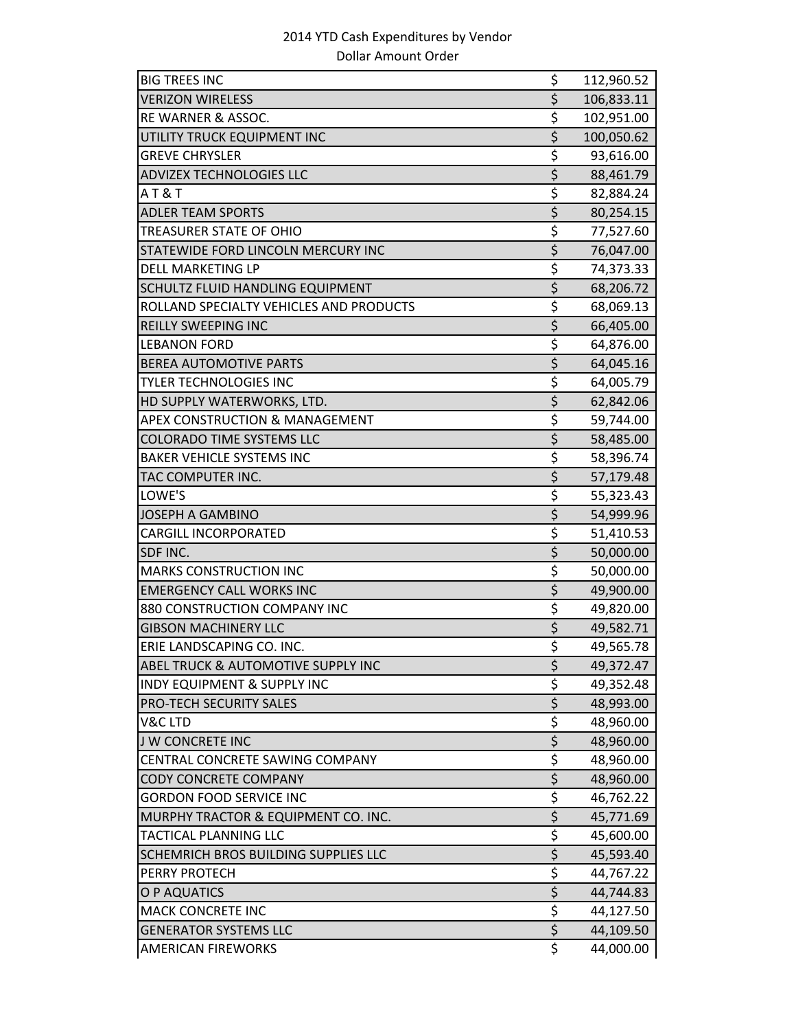| <b>BIG TREES INC</b>                    | \$                              | 112,960.52 |
|-----------------------------------------|---------------------------------|------------|
| <b>VERIZON WIRELESS</b>                 | \$                              | 106,833.11 |
| RE WARNER & ASSOC.                      | \$                              | 102,951.00 |
| UTILITY TRUCK EQUIPMENT INC             | \$                              | 100,050.62 |
| <b>GREVE CHRYSLER</b>                   | \$                              | 93,616.00  |
| <b>ADVIZEX TECHNOLOGIES LLC</b>         | $\overline{\xi}$                | 88,461.79  |
| AT&T                                    | \$                              | 82,884.24  |
| <b>ADLER TEAM SPORTS</b>                | $\overline{\xi}$                | 80,254.15  |
| TREASURER STATE OF OHIO                 | \$                              | 77,527.60  |
| STATEWIDE FORD LINCOLN MERCURY INC      | $\overline{\xi}$                | 76,047.00  |
| <b>DELL MARKETING LP</b>                | \$                              | 74,373.33  |
| SCHULTZ FLUID HANDLING EQUIPMENT        | $\overline{\xi}$                | 68,206.72  |
| ROLLAND SPECIALTY VEHICLES AND PRODUCTS | \$                              | 68,069.13  |
| REILLY SWEEPING INC                     | $\overline{\xi}$                | 66,405.00  |
| <b>LEBANON FORD</b>                     | \$                              | 64,876.00  |
| <b>BEREA AUTOMOTIVE PARTS</b>           | $\overline{\boldsymbol{\zeta}}$ | 64,045.16  |
| <b>TYLER TECHNOLOGIES INC</b>           | \$                              | 64,005.79  |
| HD SUPPLY WATERWORKS, LTD.              | $\overline{\xi}$                | 62,842.06  |
| APEX CONSTRUCTION & MANAGEMENT          | \$                              | 59,744.00  |
| <b>COLORADO TIME SYSTEMS LLC</b>        | $\overline{\xi}$                | 58,485.00  |
| <b>BAKER VEHICLE SYSTEMS INC</b>        | \$                              | 58,396.74  |
| TAC COMPUTER INC.                       | $\overline{\xi}$                | 57,179.48  |
| LOWE'S                                  | \$                              | 55,323.43  |
| <b>JOSEPH A GAMBINO</b>                 | \$                              | 54,999.96  |
| <b>CARGILL INCORPORATED</b>             | \$                              | 51,410.53  |
| SDF INC.                                | $\overline{\xi}$                | 50,000.00  |
| <b>MARKS CONSTRUCTION INC</b>           | \$                              | 50,000.00  |
| <b>EMERGENCY CALL WORKS INC</b>         | $\overline{\xi}$                | 49,900.00  |
| 880 CONSTRUCTION COMPANY INC            | \$                              | 49,820.00  |
| <b>GIBSON MACHINERY LLC</b>             | \$                              | 49,582.71  |
| ERIE LANDSCAPING CO. INC.               | \$                              | 49,565.78  |
| ABEL TRUCK & AUTOMOTIVE SUPPLY INC      | \$                              | 49,372.47  |
| <b>INDY EQUIPMENT &amp; SUPPLY INC</b>  | \$                              | 49,352.48  |
| <b>PRO-TECH SECURITY SALES</b>          | $\overline{\xi}$                | 48,993.00  |
| V&C LTD                                 | \$                              | 48,960.00  |
| <b>J W CONCRETE INC</b>                 | $\overline{\xi}$                | 48,960.00  |
| CENTRAL CONCRETE SAWING COMPANY         | \$                              | 48,960.00  |
| <b>CODY CONCRETE COMPANY</b>            | $\overline{\xi}$                | 48,960.00  |
| <b>GORDON FOOD SERVICE INC</b>          | \$                              | 46,762.22  |
| MURPHY TRACTOR & EQUIPMENT CO. INC.     | $\overline{\xi}$                | 45,771.69  |
| TACTICAL PLANNING LLC                   | \$                              | 45,600.00  |
| SCHEMRICH BROS BUILDING SUPPLIES LLC    | $\overline{\xi}$                | 45,593.40  |
| PERRY PROTECH                           | \$                              | 44,767.22  |
| O P AQUATICS                            | $\overline{\xi}$                | 44,744.83  |
| <b>MACK CONCRETE INC</b>                | \$                              | 44,127.50  |
| <b>GENERATOR SYSTEMS LLC</b>            | $\zeta$                         | 44,109.50  |
| <b>AMERICAN FIREWORKS</b>               | \$                              | 44,000.00  |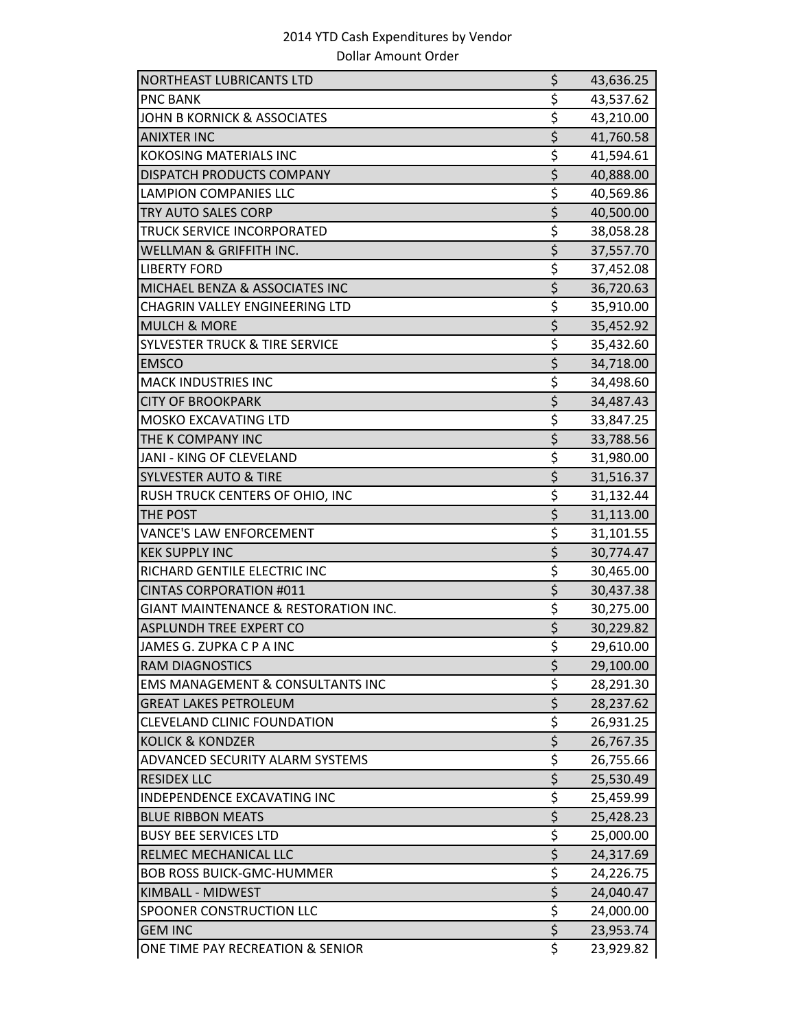| <b>NORTHEAST LUBRICANTS LTD</b>                 | \$                              | 43,636.25 |
|-------------------------------------------------|---------------------------------|-----------|
| <b>PNC BANK</b>                                 | \$                              | 43,537.62 |
| <b>JOHN B KORNICK &amp; ASSOCIATES</b>          | \$                              | 43,210.00 |
| <b>ANIXTER INC</b>                              | $\overline{\xi}$                | 41,760.58 |
| <b>KOKOSING MATERIALS INC</b>                   | \$                              | 41,594.61 |
| DISPATCH PRODUCTS COMPANY                       | $\overline{\xi}$                | 40,888.00 |
| <b>LAMPION COMPANIES LLC</b>                    | \$                              | 40,569.86 |
| TRY AUTO SALES CORP                             | $\overline{\xi}$                | 40,500.00 |
| TRUCK SERVICE INCORPORATED                      | \$                              | 38,058.28 |
| WELLMAN & GRIFFITH INC.                         | $\overline{\xi}$                | 37,557.70 |
| <b>LIBERTY FORD</b>                             | \$                              | 37,452.08 |
| MICHAEL BENZA & ASSOCIATES INC                  | $\overline{\xi}$                | 36,720.63 |
| CHAGRIN VALLEY ENGINEERING LTD                  | \$                              | 35,910.00 |
| <b>MULCH &amp; MORE</b>                         | $\overline{\xi}$                | 35,452.92 |
| <b>SYLVESTER TRUCK &amp; TIRE SERVICE</b>       | $\overline{\xi}$                | 35,432.60 |
| <b>EMSCO</b>                                    | $\overline{\xi}$                | 34,718.00 |
| <b>MACK INDUSTRIES INC</b>                      | \$                              | 34,498.60 |
| <b>CITY OF BROOKPARK</b>                        | $\overline{\xi}$                | 34,487.43 |
| <b>MOSKO EXCAVATING LTD</b>                     | $\overline{\boldsymbol{\zeta}}$ | 33,847.25 |
| THE K COMPANY INC                               | $\overline{\xi}$                | 33,788.56 |
| JANI - KING OF CLEVELAND                        | \$                              | 31,980.00 |
| <b>SYLVESTER AUTO &amp; TIRE</b>                | $\overline{\xi}$                | 31,516.37 |
| RUSH TRUCK CENTERS OF OHIO, INC                 | $\overline{\xi}$                | 31,132.44 |
| THE POST                                        | $\overline{\xi}$                | 31,113.00 |
| <b>VANCE'S LAW ENFORCEMENT</b>                  | \$                              | 31,101.55 |
| <b>KEK SUPPLY INC</b>                           | $\overline{\xi}$                | 30,774.47 |
| RICHARD GENTILE ELECTRIC INC                    | \$                              | 30,465.00 |
| CINTAS CORPORATION #011                         | \$                              | 30,437.38 |
| <b>GIANT MAINTENANCE &amp; RESTORATION INC.</b> | \$                              | 30,275.00 |
| ASPLUNDH TREE EXPERT CO                         | $\overline{\xi}$                | 30,229.82 |
| JAMES G. ZUPKA C P A INC                        | \$                              | 29,610.00 |
| RAM DIAGNOSTICS                                 | \$                              | 29,100.00 |
| <b>EMS MANAGEMENT &amp; CONSULTANTS INC</b>     | \$                              | 28,291.30 |
| <b>GREAT LAKES PETROLEUM</b>                    | $\overline{\xi}$                | 28,237.62 |
| <b>CLEVELAND CLINIC FOUNDATION</b>              | \$                              | 26,931.25 |
| <b>KOLICK &amp; KONDZER</b>                     | $\overline{\xi}$                | 26,767.35 |
| ADVANCED SECURITY ALARM SYSTEMS                 | \$                              | 26,755.66 |
| <b>RESIDEX LLC</b>                              | \$                              | 25,530.49 |
| INDEPENDENCE EXCAVATING INC                     | \$                              | 25,459.99 |
| <b>BLUE RIBBON MEATS</b>                        | $\overline{\xi}$                | 25,428.23 |
| <b>BUSY BEE SERVICES LTD</b>                    | $\overline{\xi}$                | 25,000.00 |
| RELMEC MECHANICAL LLC                           | $\overline{\xi}$                | 24,317.69 |
| <b>BOB ROSS BUICK-GMC-HUMMER</b>                | \$                              | 24,226.75 |
| KIMBALL - MIDWEST                               | $\overline{\xi}$                | 24,040.47 |
| SPOONER CONSTRUCTION LLC                        | \$                              | 24,000.00 |
| <b>GEM INC</b>                                  | $\overline{\xi}$                | 23,953.74 |
| ONE TIME PAY RECREATION & SENIOR                | \$                              | 23,929.82 |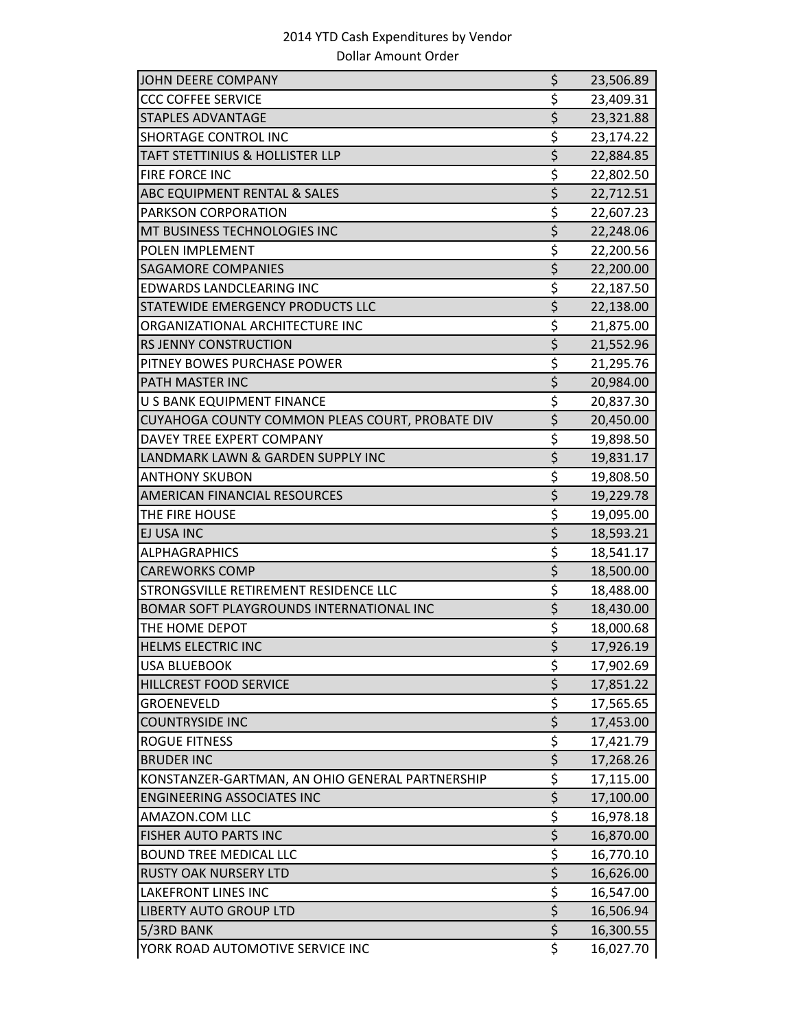| JOHN DEERE COMPANY                              | \$                              | 23,506.89 |
|-------------------------------------------------|---------------------------------|-----------|
| <b>CCC COFFEE SERVICE</b>                       | \$                              | 23,409.31 |
| <b>STAPLES ADVANTAGE</b>                        | \$                              | 23,321.88 |
| <b>SHORTAGE CONTROL INC</b>                     | \$                              | 23,174.22 |
| TAFT STETTINIUS & HOLLISTER LLP                 | $\overline{\xi}$                | 22,884.85 |
| FIRE FORCE INC                                  | \$                              | 22,802.50 |
| ABC EQUIPMENT RENTAL & SALES                    | $\overline{\boldsymbol{\zeta}}$ | 22,712.51 |
| PARKSON CORPORATION                             | \$                              | 22,607.23 |
| MT BUSINESS TECHNOLOGIES INC                    | $\overline{\xi}$                | 22,248.06 |
| <b>POLEN IMPLEMENT</b>                          | \$                              | 22,200.56 |
| <b>SAGAMORE COMPANIES</b>                       | \$                              | 22,200.00 |
| EDWARDS LANDCLEARING INC                        | \$                              | 22,187.50 |
| STATEWIDE EMERGENCY PRODUCTS LLC                | \$                              | 22,138.00 |
| ORGANIZATIONAL ARCHITECTURE INC                 | \$                              | 21,875.00 |
| <b>RS JENNY CONSTRUCTION</b>                    | $\overline{\xi}$                | 21,552.96 |
| PITNEY BOWES PURCHASE POWER                     | \$                              | 21,295.76 |
| PATH MASTER INC                                 | $\overline{\xi}$                | 20,984.00 |
| U S BANK EQUIPMENT FINANCE                      | \$                              | 20,837.30 |
| CUYAHOGA COUNTY COMMON PLEAS COURT, PROBATE DIV | $\overline{\xi}$                | 20,450.00 |
| DAVEY TREE EXPERT COMPANY                       | \$                              | 19,898.50 |
| LANDMARK LAWN & GARDEN SUPPLY INC               | \$                              | 19,831.17 |
| <b>ANTHONY SKUBON</b>                           | \$                              | 19,808.50 |
| AMERICAN FINANCIAL RESOURCES                    | $\overline{\xi}$                | 19,229.78 |
| THE FIRE HOUSE                                  | \$                              | 19,095.00 |
| EJ USA INC                                      | $\overline{\xi}$                | 18,593.21 |
| <b>ALPHAGRAPHICS</b>                            | \$                              | 18,541.17 |
| <b>CAREWORKS COMP</b>                           | \$                              | 18,500.00 |
| STRONGSVILLE RETIREMENT RESIDENCE LLC           | \$                              | 18,488.00 |
| BOMAR SOFT PLAYGROUNDS INTERNATIONAL INC        | $\overline{\xi}$                | 18,430.00 |
| THE HOME DEPOT                                  | \$                              | 18,000.68 |
| <b>HELMS ELECTRIC INC</b>                       | $\overline{\boldsymbol{\zeta}}$ | 17,926.19 |
| <b>USA BLUEBOOK</b>                             | \$                              | 17,902.69 |
| HILLCREST FOOD SERVICE                          | \$                              | 17,851.22 |
| <b>GROENEVELD</b>                               | \$                              | 17,565.65 |
| <b>COUNTRYSIDE INC</b>                          | $\overline{\xi}$                | 17,453.00 |
| <b>ROGUE FITNESS</b>                            | $\overline{\xi}$                | 17,421.79 |
| <b>BRUDER INC</b>                               | $\overline{\xi}$                | 17,268.26 |
| KONSTANZER-GARTMAN, AN OHIO GENERAL PARTNERSHIP | \$                              | 17,115.00 |
| <b>ENGINEERING ASSOCIATES INC</b>               | $\zeta$                         | 17,100.00 |
| AMAZON.COM LLC                                  | \$                              | 16,978.18 |
| <b>FISHER AUTO PARTS INC</b>                    | $\overline{\xi}$                | 16,870.00 |
| <b>BOUND TREE MEDICAL LLC</b>                   | \$                              | 16,770.10 |
| <b>RUSTY OAK NURSERY LTD</b>                    | $\overline{\xi}$                | 16,626.00 |
| <b>LAKEFRONT LINES INC</b>                      | \$                              | 16,547.00 |
| <b>LIBERTY AUTO GROUP LTD</b>                   | \$                              | 16,506.94 |
| 5/3RD BANK                                      | \$                              | 16,300.55 |
| YORK ROAD AUTOMOTIVE SERVICE INC                | \$                              | 16,027.70 |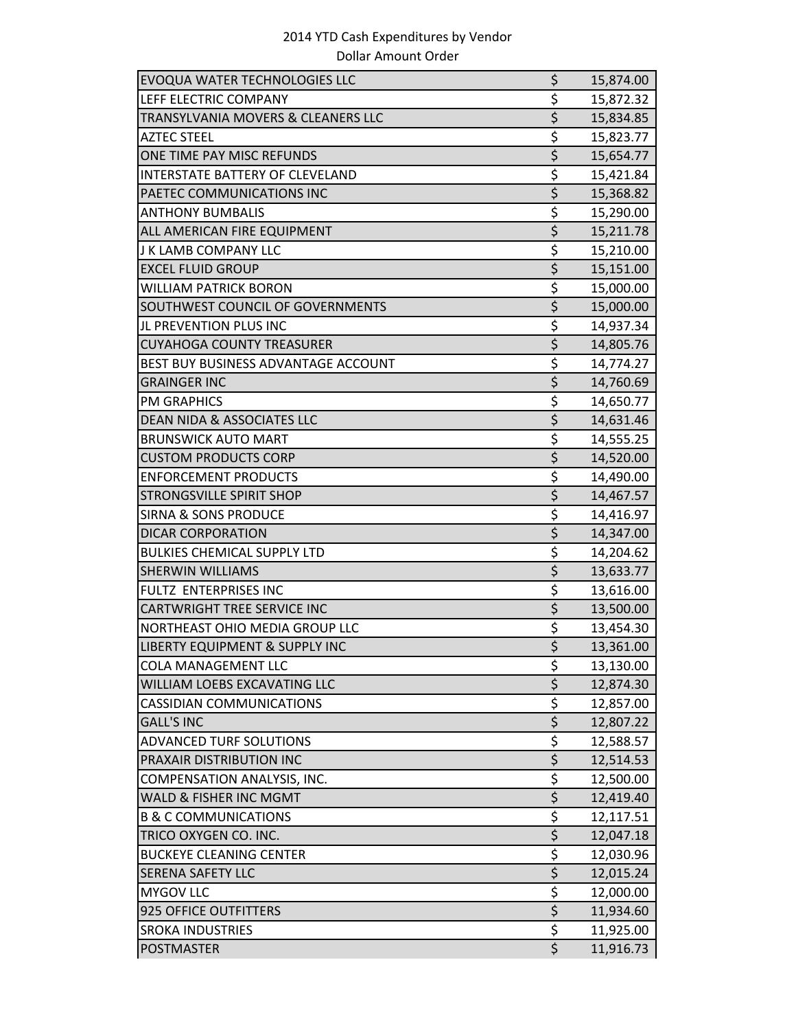| <b>EVOQUA WATER TECHNOLOGIES LLC</b>      | \$                              | 15,874.00 |
|-------------------------------------------|---------------------------------|-----------|
| LEFF ELECTRIC COMPANY                     | \$                              | 15,872.32 |
| TRANSYLVANIA MOVERS & CLEANERS LLC        | \$                              | 15,834.85 |
| <b>AZTEC STEEL</b>                        | \$                              | 15,823.77 |
| ONE TIME PAY MISC REFUNDS                 | $\overline{\xi}$                | 15,654.77 |
| <b>INTERSTATE BATTERY OF CLEVELAND</b>    | \$                              | 15,421.84 |
| PAETEC COMMUNICATIONS INC                 | $\overline{\xi}$                | 15,368.82 |
| <b>ANTHONY BUMBALIS</b>                   | \$                              | 15,290.00 |
| ALL AMERICAN FIRE EQUIPMENT               | $\overline{\xi}$                | 15,211.78 |
| J K LAMB COMPANY LLC                      | \$                              | 15,210.00 |
| <b>EXCEL FLUID GROUP</b>                  | \$                              | 15,151.00 |
| <b>WILLIAM PATRICK BORON</b>              | $\overline{\xi}$                | 15,000.00 |
| SOUTHWEST COUNCIL OF GOVERNMENTS          | \$                              | 15,000.00 |
| JL PREVENTION PLUS INC                    | \$                              | 14,937.34 |
| <b>CUYAHOGA COUNTY TREASURER</b>          | \$                              | 14,805.76 |
| BEST BUY BUSINESS ADVANTAGE ACCOUNT       | \$                              | 14,774.27 |
| <b>GRAINGER INC</b>                       | $\overline{\boldsymbol{\zeta}}$ | 14,760.69 |
| <b>PM GRAPHICS</b>                        | \$                              | 14,650.77 |
| <b>DEAN NIDA &amp; ASSOCIATES LLC</b>     | $\overline{\xi}$                | 14,631.46 |
| <b>BRUNSWICK AUTO MART</b>                | \$                              | 14,555.25 |
| <b>CUSTOM PRODUCTS CORP</b>               | $\overline{\xi}$                | 14,520.00 |
| <b>ENFORCEMENT PRODUCTS</b>               | \$                              | 14,490.00 |
| <b>STRONGSVILLE SPIRIT SHOP</b>           | \$                              | 14,467.57 |
| <b>SIRNA &amp; SONS PRODUCE</b>           | \$                              | 14,416.97 |
| <b>DICAR CORPORATION</b>                  | \$                              | 14,347.00 |
| <b>BULKIES CHEMICAL SUPPLY LTD</b>        | \$                              | 14,204.62 |
| <b>SHERWIN WILLIAMS</b>                   | \$                              | 13,633.77 |
| FULTZ ENTERPRISES INC                     | \$                              | 13,616.00 |
| <b>CARTWRIGHT TREE SERVICE INC</b>        | \$                              | 13,500.00 |
| NORTHEAST OHIO MEDIA GROUP LLC            | \$                              | 13,454.30 |
| <b>LIBERTY EQUIPMENT &amp; SUPPLY INC</b> | $\overline{\xi}$                | 13,361.00 |
| <b>COLA MANAGEMENT LLC</b>                | \$                              | 13,130.00 |
| WILLIAM LOEBS EXCAVATING LLC              | \$                              | 12,874.30 |
| <b>CASSIDIAN COMMUNICATIONS</b>           | \$                              | 12,857.00 |
| <b>GALL'S INC</b>                         | $\overline{\xi}$                | 12,807.22 |
| <b>ADVANCED TURF SOLUTIONS</b>            | \$                              | 12,588.57 |
| PRAXAIR DISTRIBUTION INC                  | $\overline{\xi}$                | 12,514.53 |
| COMPENSATION ANALYSIS, INC.               | $\overline{\xi}$                | 12,500.00 |
| WALD & FISHER INC MGMT                    | \$                              | 12,419.40 |
| <b>B &amp; C COMMUNICATIONS</b>           | \$                              | 12,117.51 |
| TRICO OXYGEN CO. INC.                     | \$                              | 12,047.18 |
| <b>BUCKEYE CLEANING CENTER</b>            | \$                              | 12,030.96 |
| <b>SERENA SAFETY LLC</b>                  | $\overline{\xi}$                | 12,015.24 |
| MYGOV LLC                                 | \$                              | 12,000.00 |
| <b>925 OFFICE OUTFITTERS</b>              | $\overline{\xi}$                | 11,934.60 |
| <b>SROKA INDUSTRIES</b>                   | \$                              | 11,925.00 |
| <b>POSTMASTER</b>                         | $\overline{\xi}$                | 11,916.73 |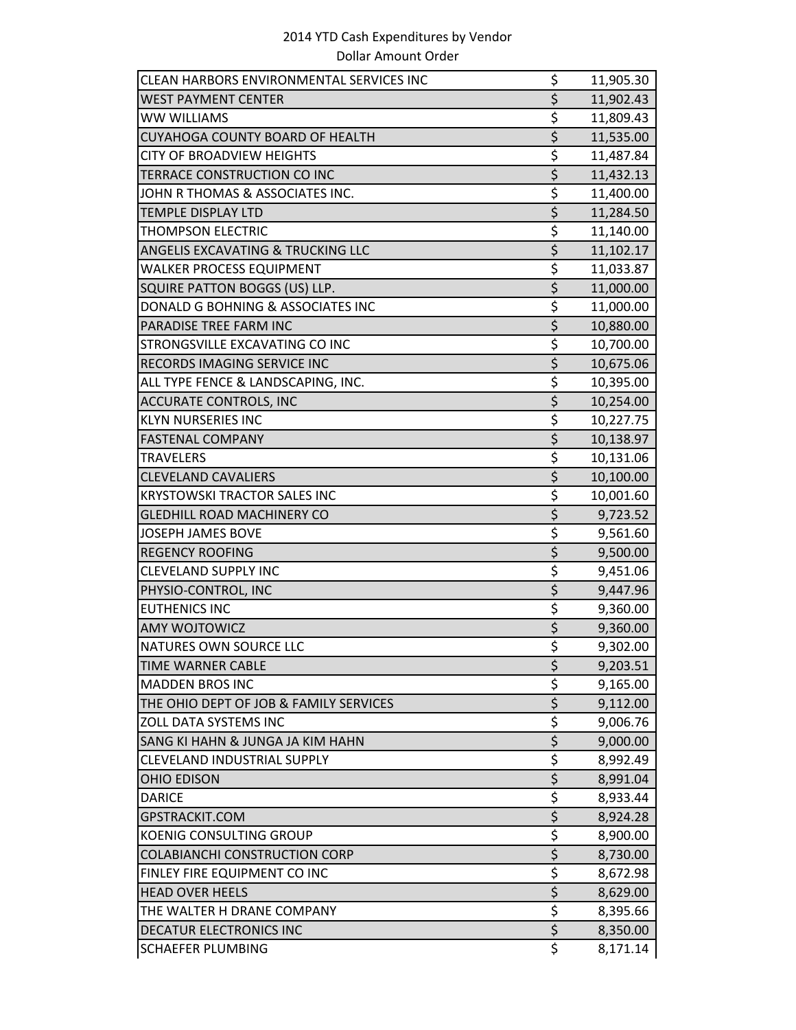| CLEAN HARBORS ENVIRONMENTAL SERVICES INC | \$               | 11,905.30 |
|------------------------------------------|------------------|-----------|
| WEST PAYMENT CENTER                      | \$               | 11,902.43 |
| WW WILLIAMS                              | \$               | 11,809.43 |
| CUYAHOGA COUNTY BOARD OF HEALTH          | \$               | 11,535.00 |
| <b>CITY OF BROADVIEW HEIGHTS</b>         | \$               | 11,487.84 |
| TERRACE CONSTRUCTION CO INC              | \$               | 11,432.13 |
| JOHN R THOMAS & ASSOCIATES INC.          | \$               | 11,400.00 |
| <b>TEMPLE DISPLAY LTD</b>                | \$               | 11,284.50 |
| <b>THOMPSON ELECTRIC</b>                 | \$               | 11,140.00 |
| ANGELIS EXCAVATING & TRUCKING LLC        | $\overline{\xi}$ | 11,102.17 |
| WALKER PROCESS EQUIPMENT                 | \$               | 11,033.87 |
| SQUIRE PATTON BOGGS (US) LLP.            | \$               | 11,000.00 |
| DONALD G BOHNING & ASSOCIATES INC        | \$               | 11,000.00 |
| PARADISE TREE FARM INC                   | $\overline{\xi}$ | 10,880.00 |
| STRONGSVILLE EXCAVATING CO INC           | \$               | 10,700.00 |
| RECORDS IMAGING SERVICE INC              | \$               | 10,675.06 |
| ALL TYPE FENCE & LANDSCAPING, INC.       | \$               | 10,395.00 |
| <b>ACCURATE CONTROLS, INC</b>            | \$               | 10,254.00 |
| <b>KLYN NURSERIES INC</b>                | \$               | 10,227.75 |
| <b>FASTENAL COMPANY</b>                  | \$               | 10,138.97 |
| <b>TRAVELERS</b>                         | \$               | 10,131.06 |
| <b>CLEVELAND CAVALIERS</b>               | \$               | 10,100.00 |
| <b>KRYSTOWSKI TRACTOR SALES INC</b>      | \$               | 10,001.60 |
| <b>GLEDHILL ROAD MACHINERY CO</b>        | $\overline{\xi}$ | 9,723.52  |
| <b>JOSEPH JAMES BOVE</b>                 | \$               | 9,561.60  |
| <b>REGENCY ROOFING</b>                   | \$               | 9,500.00  |
| <b>CLEVELAND SUPPLY INC</b>              | \$               | 9,451.06  |
| PHYSIO-CONTROL, INC                      | \$               | 9,447.96  |
| <b>EUTHENICS INC</b>                     | \$               | 9,360.00  |
| <b>AMY WOJTOWICZ</b>                     | \$               | 9,360.00  |
| NATURES OWN SOURCE LLC                   | $\overline{\xi}$ | 9,302.00  |
| <b>TIME WARNER CABLE</b>                 | \$               | 9,203.51  |
| MADDEN BROS INC                          | \$               | 9,165.00  |
| THE OHIO DEPT OF JOB & FAMILY SERVICES   | \$               | 9,112.00  |
| <b>ZOLL DATA SYSTEMS INC</b>             | \$               | 9,006.76  |
| SANG KI HAHN & JUNGA JA KIM HAHN         | $\overline{\xi}$ | 9,000.00  |
| CLEVELAND INDUSTRIAL SUPPLY              | \$               | 8,992.49  |
| OHIO EDISON                              | $\overline{\xi}$ | 8,991.04  |
| <b>DARICE</b>                            | \$               | 8,933.44  |
| GPSTRACKIT.COM                           | \$               | 8,924.28  |
| KOENIG CONSULTING GROUP                  | \$               | 8,900.00  |
| COLABIANCHI CONSTRUCTION CORP            | \$               | 8,730.00  |
| FINLEY FIRE EQUIPMENT CO INC             | \$               | 8,672.98  |
| <b>HEAD OVER HEELS</b>                   | \$               | 8,629.00  |
| THE WALTER H DRANE COMPANY               | $\frac{5}{5}$    | 8,395.66  |
| DECATUR ELECTRONICS INC                  |                  | 8,350.00  |
| <b>SCHAEFER PLUMBING</b>                 | $\overline{\xi}$ | 8,171.14  |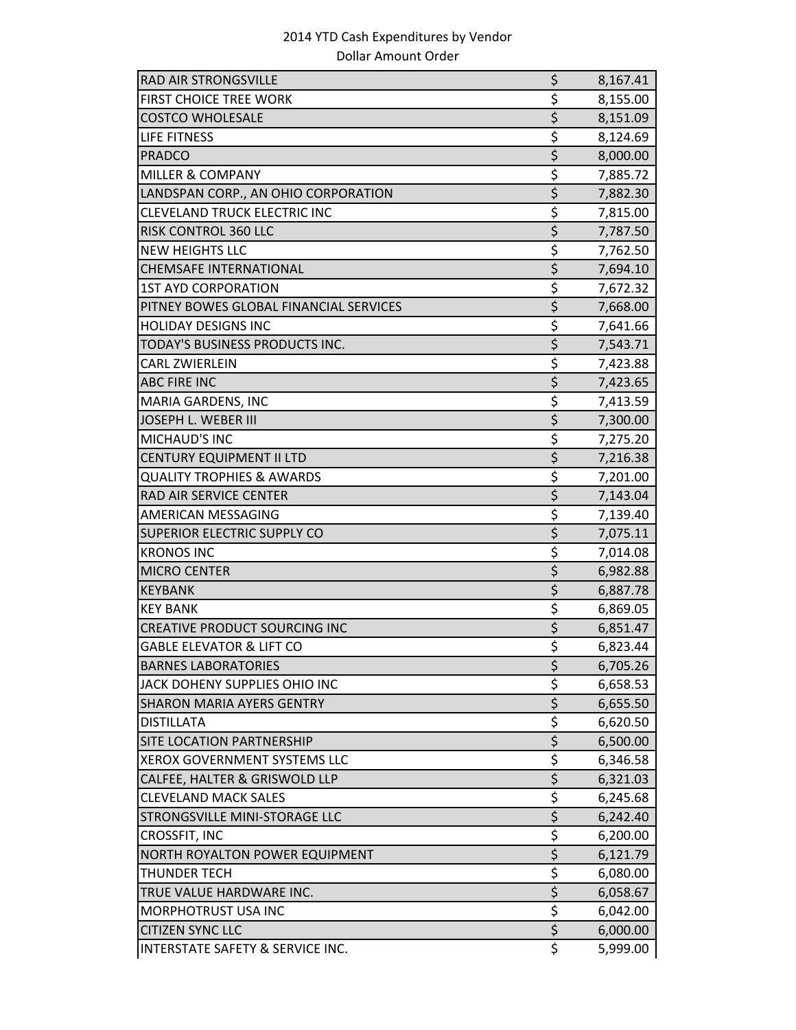| RAD AIR STRONGSVILLE                   | \$                                  | 8,167.41 |
|----------------------------------------|-------------------------------------|----------|
| <b>FIRST CHOICE TREE WORK</b>          | \$                                  | 8,155.00 |
| <b>COSTCO WHOLESALE</b>                | $\overline{\xi}$                    | 8,151.09 |
| LIFE FITNESS                           | \$                                  | 8,124.69 |
| <b>PRADCO</b>                          | $\overline{\xi}$                    | 8,000.00 |
| <b>MILLER &amp; COMPANY</b>            | \$                                  | 7,885.72 |
| LANDSPAN CORP., AN OHIO CORPORATION    | $\overline{\xi}$                    | 7,882.30 |
| <b>CLEVELAND TRUCK ELECTRIC INC</b>    | \$                                  | 7,815.00 |
| <b>RISK CONTROL 360 LLC</b>            | $\overline{\xi}$                    | 7,787.50 |
| <b>NEW HEIGHTS LLC</b>                 | \$                                  | 7,762.50 |
| <b>CHEMSAFE INTERNATIONAL</b>          | $\overline{\xi}$                    | 7,694.10 |
| <b>1ST AYD CORPORATION</b>             | \$                                  | 7,672.32 |
| PITNEY BOWES GLOBAL FINANCIAL SERVICES | \$                                  | 7,668.00 |
| <b>HOLIDAY DESIGNS INC</b>             | \$                                  | 7,641.66 |
| TODAY'S BUSINESS PRODUCTS INC.         | \$                                  | 7,543.71 |
| <b>CARL ZWIERLEIN</b>                  | \$                                  | 7,423.88 |
| <b>ABC FIRE INC</b>                    | \$                                  | 7,423.65 |
| <b>MARIA GARDENS, INC</b>              | \$                                  | 7,413.59 |
| JOSEPH L. WEBER III                    | $\overline{\boldsymbol{\varsigma}}$ | 7,300.00 |
| MICHAUD'S INC                          | \$                                  | 7,275.20 |
| <b>CENTURY EQUIPMENT II LTD</b>        | $\overline{\xi}$                    | 7,216.38 |
| <b>QUALITY TROPHIES &amp; AWARDS</b>   | \$                                  | 7,201.00 |
| RAD AIR SERVICE CENTER                 | \$                                  | 7,143.04 |
| AMERICAN MESSAGING                     | \$                                  | 7,139.40 |
| SUPERIOR ELECTRIC SUPPLY CO            | $\overline{\xi}$                    | 7,075.11 |
| <b>KRONOS INC</b>                      | \$                                  | 7,014.08 |
| <b>MICRO CENTER</b>                    | $\overline{\xi}$                    | 6,982.88 |
| <b>KEYBANK</b>                         | \$                                  | 6,887.78 |
| <b>KEY BANK</b>                        | \$                                  | 6,869.05 |
| <b>CREATIVE PRODUCT SOURCING INC</b>   | $\overline{\xi}$                    | 6,851.47 |
| <b>GABLE ELEVATOR &amp; LIFT CO</b>    | \$                                  | 6,823.44 |
| <b>BARNES LABORATORIES</b>             | \$                                  | 6,705.26 |
| JACK DOHENY SUPPLIES OHIO INC          | \$                                  | 6,658.53 |
| <b>SHARON MARIA AYERS GENTRY</b>       | $\overline{\xi}$                    | 6,655.50 |
| <b>DISTILLATA</b>                      | \$                                  | 6,620.50 |
| SITE LOCATION PARTNERSHIP              | $\overline{\xi}$                    | 6,500.00 |
| <b>XEROX GOVERNMENT SYSTEMS LLC</b>    | \$                                  | 6,346.58 |
| CALFEE, HALTER & GRISWOLD LLP          | $\overline{\xi}$                    | 6,321.03 |
| <b>CLEVELAND MACK SALES</b>            | $\frac{1}{2}$                       | 6,245.68 |
| STRONGSVILLE MINI-STORAGE LLC          | $\overline{\boldsymbol{\zeta}}$     | 6,242.40 |
| CROSSFIT, INC                          | \$                                  | 6,200.00 |
| NORTH ROYALTON POWER EQUIPMENT         | $\overline{\xi}$                    | 6,121.79 |
| <b>THUNDER TECH</b>                    | \$                                  | 6,080.00 |
| TRUE VALUE HARDWARE INC.               | \$                                  | 6,058.67 |
| MORPHOTRUST USA INC                    | \$                                  | 6,042.00 |
| <b>CITIZEN SYNC LLC</b>                | $\overline{\xi}$                    | 6,000.00 |
| INTERSTATE SAFETY & SERVICE INC.       | \$                                  | 5,999.00 |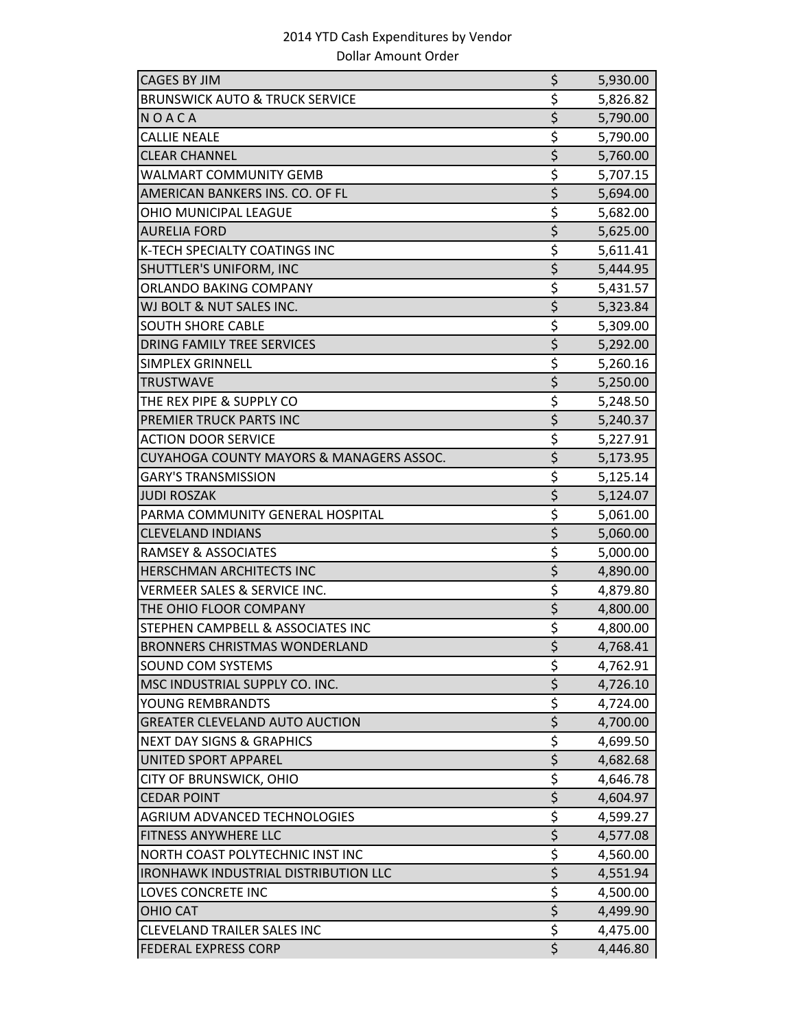| <b>CAGES BY JIM</b>                         | \$                              | 5,930.00 |
|---------------------------------------------|---------------------------------|----------|
| <b>BRUNSWICK AUTO &amp; TRUCK SERVICE</b>   | \$                              | 5,826.82 |
| NOACA                                       | $\overline{\xi}$                | 5,790.00 |
| <b>CALLIE NEALE</b>                         | \$                              | 5,790.00 |
| <b>CLEAR CHANNEL</b>                        | $\overline{\xi}$                | 5,760.00 |
| <b>WALMART COMMUNITY GEMB</b>               | \$                              | 5,707.15 |
| AMERICAN BANKERS INS. CO. OF FL             | $\overline{\xi}$                | 5,694.00 |
| OHIO MUNICIPAL LEAGUE                       | \$                              | 5,682.00 |
| <b>AURELIA FORD</b>                         | $\overline{\xi}$                | 5,625.00 |
| K-TECH SPECIALTY COATINGS INC               | \$                              | 5,611.41 |
| SHUTTLER'S UNIFORM, INC                     | $\overline{\xi}$                | 5,444.95 |
| ORLANDO BAKING COMPANY                      | \$                              | 5,431.57 |
| WJ BOLT & NUT SALES INC.                    | $\overline{\xi}$                | 5,323.84 |
| <b>SOUTH SHORE CABLE</b>                    | \$                              | 5,309.00 |
| DRING FAMILY TREE SERVICES                  | $\overline{\xi}$                | 5,292.00 |
| SIMPLEX GRINNELL                            | \$                              | 5,260.16 |
| <b>TRUSTWAVE</b>                            | \$                              | 5,250.00 |
| THE REX PIPE & SUPPLY CO                    | \$                              | 5,248.50 |
| PREMIER TRUCK PARTS INC                     | $\overline{\xi}$                | 5,240.37 |
| <b>ACTION DOOR SERVICE</b>                  | \$                              | 5,227.91 |
| CUYAHOGA COUNTY MAYORS & MANAGERS ASSOC.    | $\overline{\xi}$                | 5,173.95 |
| <b>GARY'S TRANSMISSION</b>                  | \$                              | 5,125.14 |
| <b>JUDI ROSZAK</b>                          | $\overline{\xi}$                | 5,124.07 |
| PARMA COMMUNITY GENERAL HOSPITAL            | $\overline{\xi}$                | 5,061.00 |
| <b>CLEVELAND INDIANS</b>                    | $\overline{\xi}$                | 5,060.00 |
| <b>RAMSEY &amp; ASSOCIATES</b>              | \$                              | 5,000.00 |
| HERSCHMAN ARCHITECTS INC                    | $\overline{\xi}$                | 4,890.00 |
| <b>VERMEER SALES &amp; SERVICE INC.</b>     | \$                              | 4,879.80 |
| THE OHIO FLOOR COMPANY                      | $\overline{\xi}$                | 4,800.00 |
| STEPHEN CAMPBELL & ASSOCIATES INC           | \$                              | 4,800.00 |
| <b>BRONNERS CHRISTMAS WONDERLAND</b>        | $\overline{\boldsymbol{\zeta}}$ | 4,768.41 |
| SOUND COM SYSTEMS                           | \$                              | 4,762.91 |
| MSC INDUSTRIAL SUPPLY CO. INC.              | $\overline{\xi}$                | 4,726.10 |
| YOUNG REMBRANDTS                            | \$                              | 4,724.00 |
| <b>GREATER CLEVELAND AUTO AUCTION</b>       | $\overline{\xi}$                | 4,700.00 |
| <b>NEXT DAY SIGNS &amp; GRAPHICS</b>        | \$                              | 4,699.50 |
| UNITED SPORT APPAREL                        | $\overline{\xi}$                | 4,682.68 |
| CITY OF BRUNSWICK, OHIO                     | \$                              | 4,646.78 |
| <b>CEDAR POINT</b>                          | $\overline{\xi}$                | 4,604.97 |
| <b>AGRIUM ADVANCED TECHNOLOGIES</b>         | \$                              | 4,599.27 |
| FITNESS ANYWHERE LLC                        | $\overline{\xi}$                | 4,577.08 |
| NORTH COAST POLYTECHNIC INST INC            | \$                              | 4,560.00 |
| <b>IRONHAWK INDUSTRIAL DISTRIBUTION LLC</b> | $\overline{\xi}$                | 4,551.94 |
| LOVES CONCRETE INC                          | \$                              | 4,500.00 |
| <b>OHIO CAT</b>                             | $\overline{\xi}$                | 4,499.90 |
| <b>CLEVELAND TRAILER SALES INC</b>          | \$                              | 4,475.00 |
| <b>FEDERAL EXPRESS CORP</b>                 | $\overline{\xi}$                | 4,446.80 |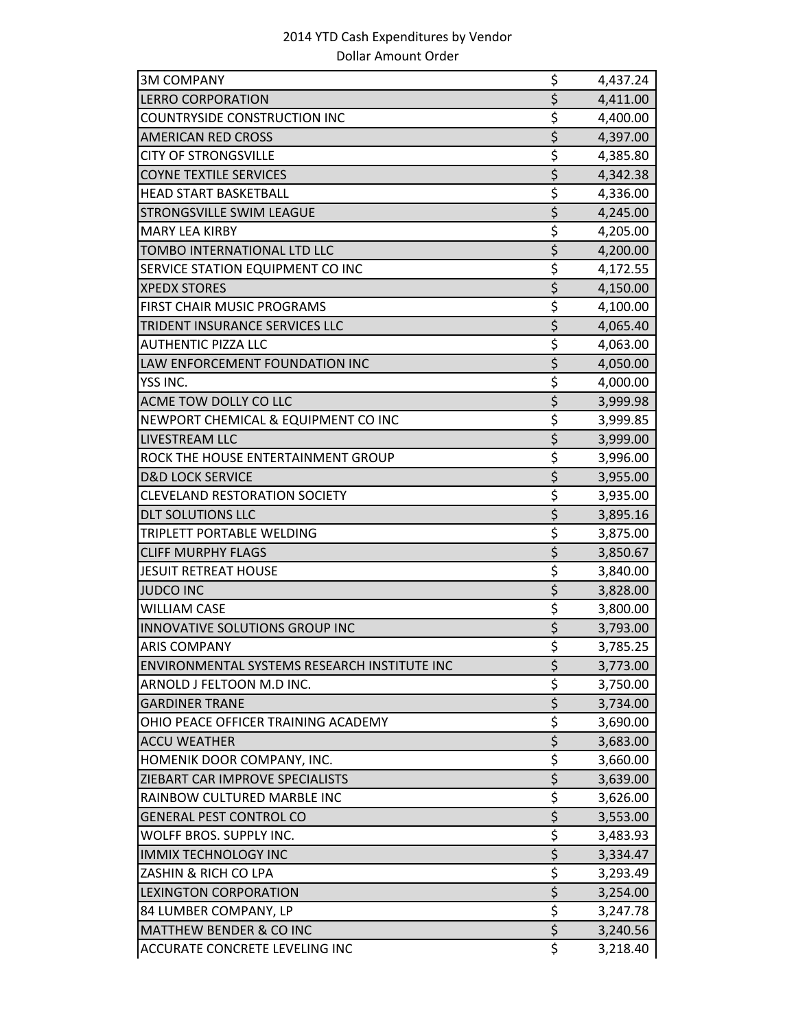| <b>3M COMPANY</b>                            | \$                                  | 4,437.24 |
|----------------------------------------------|-------------------------------------|----------|
| <b>LERRO CORPORATION</b>                     | $\overline{\xi}$                    | 4,411.00 |
| <b>COUNTRYSIDE CONSTRUCTION INC</b>          | \$                                  | 4,400.00 |
| <b>AMERICAN RED CROSS</b>                    | $\overline{\xi}$                    | 4,397.00 |
| <b>CITY OF STRONGSVILLE</b>                  | \$                                  | 4,385.80 |
| <b>COYNE TEXTILE SERVICES</b>                | $\overline{\xi}$                    | 4,342.38 |
| <b>HEAD START BASKETBALL</b>                 | \$                                  | 4,336.00 |
| STRONGSVILLE SWIM LEAGUE                     | $\overline{\xi}$                    | 4,245.00 |
| <b>MARY LEA KIRBY</b>                        | \$                                  | 4,205.00 |
| TOMBO INTERNATIONAL LTD LLC                  | \$                                  | 4,200.00 |
| SERVICE STATION EQUIPMENT CO INC             | \$                                  | 4,172.55 |
| <b>XPEDX STORES</b>                          | $\overline{\boldsymbol{\varsigma}}$ | 4,150.00 |
| FIRST CHAIR MUSIC PROGRAMS                   | \$                                  | 4,100.00 |
| TRIDENT INSURANCE SERVICES LLC               | $\overline{\xi}$                    | 4,065.40 |
| <b>AUTHENTIC PIZZA LLC</b>                   | \$                                  | 4,063.00 |
| LAW ENFORCEMENT FOUNDATION INC               | $\overline{\xi}$                    | 4,050.00 |
| YSS INC.                                     | \$                                  | 4,000.00 |
| ACME TOW DOLLY CO LLC                        | $\overline{\xi}$                    | 3,999.98 |
| NEWPORT CHEMICAL & EQUIPMENT CO INC          | \$                                  | 3,999.85 |
| LIVESTREAM LLC                               | \$                                  | 3,999.00 |
| ROCK THE HOUSE ENTERTAINMENT GROUP           | \$                                  | 3,996.00 |
| <b>D&amp;D LOCK SERVICE</b>                  | $\overline{\xi}$                    | 3,955.00 |
| <b>CLEVELAND RESTORATION SOCIETY</b>         | \$                                  | 3,935.00 |
| <b>DLT SOLUTIONS LLC</b>                     | $\overline{\xi}$                    | 3,895.16 |
| TRIPLETT PORTABLE WELDING                    | \$                                  | 3,875.00 |
| <b>CLIFF MURPHY FLAGS</b>                    | \$                                  | 3,850.67 |
| <b>JESUIT RETREAT HOUSE</b>                  | \$                                  | 3,840.00 |
| <b>JUDCO INC</b>                             | $\overline{\xi}$                    | 3,828.00 |
| <b>WILLIAM CASE</b>                          | \$                                  | 3,800.00 |
| INNOVATIVE SOLUTIONS GROUP INC               | $\overline{\xi}$                    | 3,793.00 |
| <b>ARIS COMPANY</b>                          | \$                                  | 3,785.25 |
| ENVIRONMENTAL SYSTEMS RESEARCH INSTITUTE INC | \$                                  | 3,773.00 |
| ARNOLD J FELTOON M.D INC.                    | \$                                  | 3,750.00 |
| <b>GARDINER TRANE</b>                        | \$                                  | 3,734.00 |
| OHIO PEACE OFFICER TRAINING ACADEMY          | \$                                  | 3,690.00 |
| <b>ACCU WEATHER</b>                          | $\overline{\xi}$                    | 3,683.00 |
| HOMENIK DOOR COMPANY, INC.                   | \$                                  | 3,660.00 |
| ZIEBART CAR IMPROVE SPECIALISTS              | $\overline{\xi}$                    | 3,639.00 |
| RAINBOW CULTURED MARBLE INC                  | \$                                  | 3,626.00 |
| <b>GENERAL PEST CONTROL CO</b>               | $\overline{\boldsymbol{\zeta}}$     | 3,553.00 |
| WOLFF BROS. SUPPLY INC.                      | \$                                  | 3,483.93 |
| <b>IMMIX TECHNOLOGY INC</b>                  | $\overline{\xi}$                    | 3,334.47 |
| ZASHIN & RICH CO LPA                         | \$                                  | 3,293.49 |
| <b>LEXINGTON CORPORATION</b>                 | \$                                  | 3,254.00 |
| 84 LUMBER COMPANY, LP                        | \$                                  | 3,247.78 |
| <b>MATTHEW BENDER &amp; CO INC</b>           | $\overline{\boldsymbol{\varsigma}}$ | 3,240.56 |
| ACCURATE CONCRETE LEVELING INC               | \$                                  | 3,218.40 |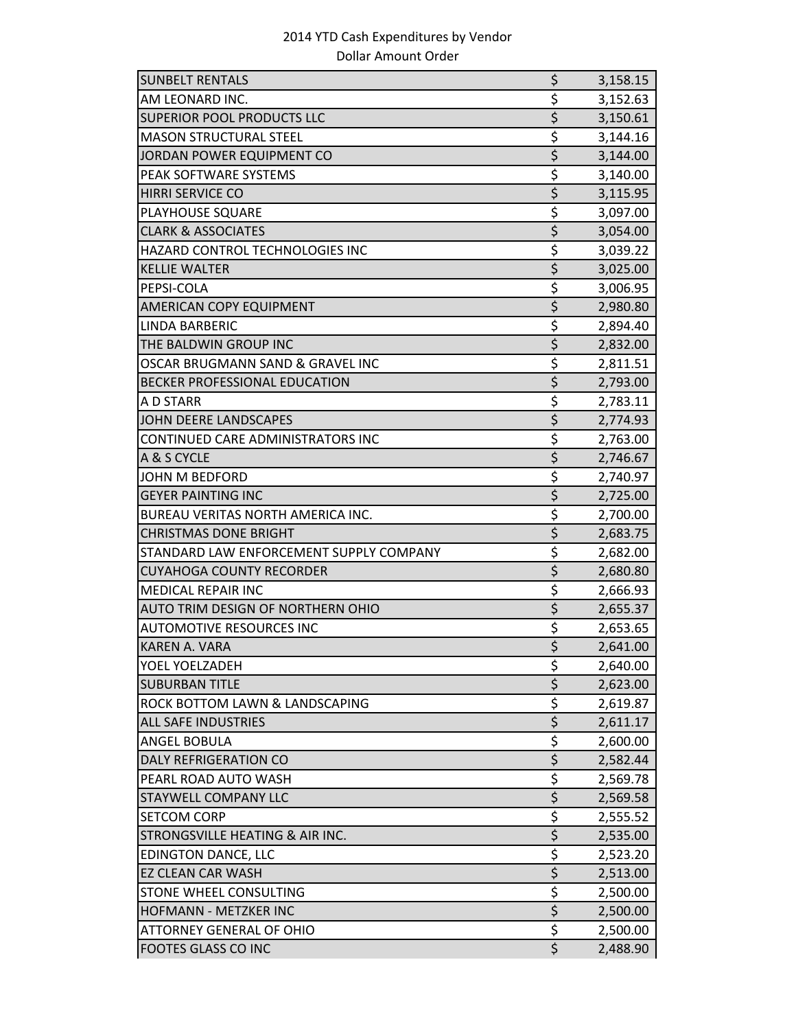| <b>SUNBELT RENTALS</b>                   | \$                              | 3,158.15 |
|------------------------------------------|---------------------------------|----------|
| AM LEONARD INC.                          | \$                              | 3,152.63 |
| <b>SUPERIOR POOL PRODUCTS LLC</b>        | $\overline{\xi}$                | 3,150.61 |
| <b>MASON STRUCTURAL STEEL</b>            | \$                              | 3,144.16 |
| JORDAN POWER EQUIPMENT CO                | \$                              | 3,144.00 |
| PEAK SOFTWARE SYSTEMS                    | \$                              | 3,140.00 |
| <b>HIRRI SERVICE CO</b>                  | $\overline{\xi}$                | 3,115.95 |
| PLAYHOUSE SQUARE                         | \$                              | 3,097.00 |
| <b>CLARK &amp; ASSOCIATES</b>            | $\overline{\xi}$                | 3,054.00 |
| HAZARD CONTROL TECHNOLOGIES INC          | \$                              | 3,039.22 |
| <b>KELLIE WALTER</b>                     | $\overline{\xi}$                | 3,025.00 |
| PEPSI-COLA                               | \$                              | 3,006.95 |
| AMERICAN COPY EQUIPMENT                  | $\overline{\xi}$                | 2,980.80 |
| <b>LINDA BARBERIC</b>                    | \$                              | 2,894.40 |
| THE BALDWIN GROUP INC                    | \$                              | 2,832.00 |
| OSCAR BRUGMANN SAND & GRAVEL INC         | \$                              | 2,811.51 |
| BECKER PROFESSIONAL EDUCATION            | \$                              | 2,793.00 |
| A D STARR                                | \$                              | 2,783.11 |
| JOHN DEERE LANDSCAPES                    | \$                              | 2,774.93 |
| CONTINUED CARE ADMINISTRATORS INC        | \$                              | 2,763.00 |
| A & S CYCLE                              | $\overline{\xi}$                | 2,746.67 |
| JOHN M BEDFORD                           | \$                              | 2,740.97 |
| <b>GEYER PAINTING INC</b>                | $\overline{\xi}$                | 2,725.00 |
| <b>BUREAU VERITAS NORTH AMERICA INC.</b> | \$                              | 2,700.00 |
| <b>CHRISTMAS DONE BRIGHT</b>             | $\overline{\xi}$                | 2,683.75 |
| STANDARD LAW ENFORCEMENT SUPPLY COMPANY  | \$                              | 2,682.00 |
| <b>CUYAHOGA COUNTY RECORDER</b>          | $\overline{\xi}$                | 2,680.80 |
| <b>MEDICAL REPAIR INC</b>                | \$                              | 2,666.93 |
| AUTO TRIM DESIGN OF NORTHERN OHIO        | $\overline{\xi}$                | 2,655.37 |
| <b>AUTOMOTIVE RESOURCES INC</b>          | \$                              | 2,653.65 |
| <b>KAREN A. VARA</b>                     | $\overline{\xi}$                | 2,641.00 |
| YOEL YOELZADEH                           | \$                              | 2,640.00 |
| <b>SUBURBAN TITLE</b>                    | $\overline{\xi}$                | 2,623.00 |
| ROCK BOTTOM LAWN & LANDSCAPING           | \$                              | 2,619.87 |
| <b>ALL SAFE INDUSTRIES</b>               | \$                              | 2,611.17 |
| ANGEL BOBULA                             | \$                              | 2,600.00 |
| <b>DALY REFRIGERATION CO</b>             | \$                              | 2,582.44 |
| PEARL ROAD AUTO WASH                     | \$                              | 2,569.78 |
| <b>STAYWELL COMPANY LLC</b>              | $\zeta$                         | 2,569.58 |
| <b>SETCOM CORP</b>                       | $\overline{\boldsymbol{\zeta}}$ | 2,555.52 |
| STRONGSVILLE HEATING & AIR INC.          | \$                              | 2,535.00 |
| <b>EDINGTON DANCE, LLC</b>               | \$                              | 2,523.20 |
| <b>EZ CLEAN CAR WASH</b>                 | $\overline{\xi}$                | 2,513.00 |
| STONE WHEEL CONSULTING                   | \$                              | 2,500.00 |
| <b>HOFMANN - METZKER INC</b>             | $\overline{\xi}$                | 2,500.00 |
| <b>ATTORNEY GENERAL OF OHIO</b>          | \$                              | 2,500.00 |
| <b>FOOTES GLASS CO INC</b>               | $\overline{\xi}$                | 2,488.90 |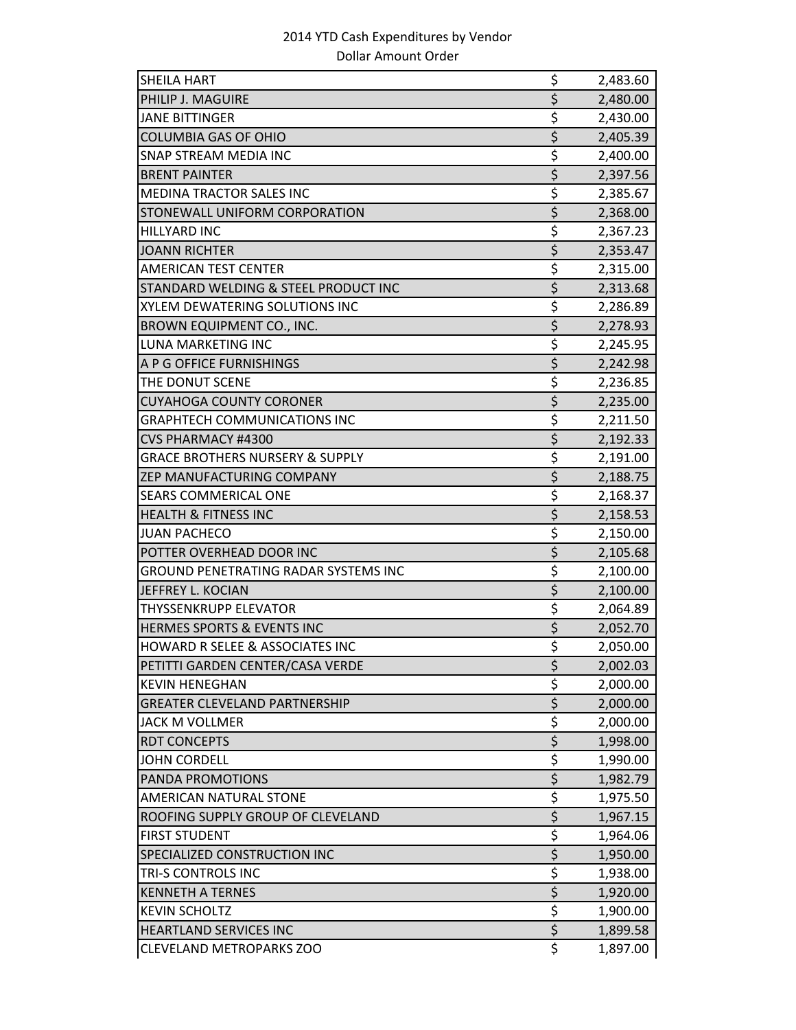| SHEILA HART                                 | \$                                  | 2,483.60 |
|---------------------------------------------|-------------------------------------|----------|
| PHILIP J. MAGUIRE                           | $\overline{\xi}$                    | 2,480.00 |
| <b>JANE BITTINGER</b>                       | \$                                  | 2,430.00 |
| <b>COLUMBIA GAS OF OHIO</b>                 | $\overline{\xi}$                    | 2,405.39 |
| SNAP STREAM MEDIA INC                       | \$                                  | 2,400.00 |
| <b>BRENT PAINTER</b>                        | $\overline{\xi}$                    | 2,397.56 |
| MEDINA TRACTOR SALES INC                    | \$                                  | 2,385.67 |
| STONEWALL UNIFORM CORPORATION               | $\overline{\xi}$                    | 2,368.00 |
| <b>HILLYARD INC</b>                         | \$                                  | 2,367.23 |
| <b>JOANN RICHTER</b>                        | \$                                  | 2,353.47 |
| AMERICAN TEST CENTER                        | \$                                  | 2,315.00 |
| STANDARD WELDING & STEEL PRODUCT INC        | $\overline{\boldsymbol{\varsigma}}$ | 2,313.68 |
| XYLEM DEWATERING SOLUTIONS INC              | \$                                  | 2,286.89 |
| BROWN EQUIPMENT CO., INC.                   | $\overline{\xi}$                    | 2,278.93 |
| LUNA MARKETING INC                          | \$                                  | 2,245.95 |
| A P G OFFICE FURNISHINGS                    | $\overline{\xi}$                    | 2,242.98 |
| THE DONUT SCENE                             | \$                                  | 2,236.85 |
| <b>CUYAHOGA COUNTY CORONER</b>              | $\overline{\xi}$                    | 2,235.00 |
| <b>GRAPHTECH COMMUNICATIONS INC</b>         | \$                                  | 2,211.50 |
| <b>CVS PHARMACY #4300</b>                   | \$                                  | 2,192.33 |
| <b>GRACE BROTHERS NURSERY &amp; SUPPLY</b>  | \$                                  | 2,191.00 |
| ZEP MANUFACTURING COMPANY                   | $\overline{\xi}$                    | 2,188.75 |
| SEARS COMMERICAL ONE                        | \$                                  | 2,168.37 |
| <b>HEALTH &amp; FITNESS INC</b>             | \$                                  | 2,158.53 |
| <b>JUAN PACHECO</b>                         | \$                                  | 2,150.00 |
| POTTER OVERHEAD DOOR INC                    | $\overline{\xi}$                    | 2,105.68 |
| <b>GROUND PENETRATING RADAR SYSTEMS INC</b> | \$                                  | 2,100.00 |
| <b>JEFFREY L. KOCIAN</b>                    | $\overline{\xi}$                    | 2,100.00 |
| <b>THYSSENKRUPP ELEVATOR</b>                | \$                                  | 2,064.89 |
| <b>HERMES SPORTS &amp; EVENTS INC</b>       | $\overline{\xi}$                    | 2,052.70 |
| <b>HOWARD R SELEE &amp; ASSOCIATES INC</b>  | \$                                  | 2,050.00 |
| PETITTI GARDEN CENTER/CASA VERDE            | \$                                  | 2,002.03 |
| <b>KEVIN HENEGHAN</b>                       | \$                                  | 2,000.00 |
| <b>GREATER CLEVELAND PARTNERSHIP</b>        | $\overline{\xi}$                    | 2,000.00 |
| JACK M VOLLMER                              | \$                                  | 2,000.00 |
| <b>RDT CONCEPTS</b>                         | $\overline{\xi}$                    | 1,998.00 |
| <b>JOHN CORDELL</b>                         | \$                                  | 1,990.00 |
| PANDA PROMOTIONS                            | $\overline{\xi}$                    | 1,982.79 |
| <b>AMERICAN NATURAL STONE</b>               | \$                                  | 1,975.50 |
| ROOFING SUPPLY GROUP OF CLEVELAND           | $\overline{\xi}$                    | 1,967.15 |
| <b>FIRST STUDENT</b>                        | \$                                  | 1,964.06 |
| SPECIALIZED CONSTRUCTION INC                | $\overline{\xi}$                    | 1,950.00 |
| TRI-S CONTROLS INC                          | \$                                  | 1,938.00 |
| <b>KENNETH A TERNES</b>                     | \$                                  | 1,920.00 |
| <b>KEVIN SCHOLTZ</b>                        | \$                                  | 1,900.00 |
| <b>HEARTLAND SERVICES INC</b>               | $\overline{\xi}$                    | 1,899.58 |
| <b>CLEVELAND METROPARKS ZOO</b>             | \$                                  | 1,897.00 |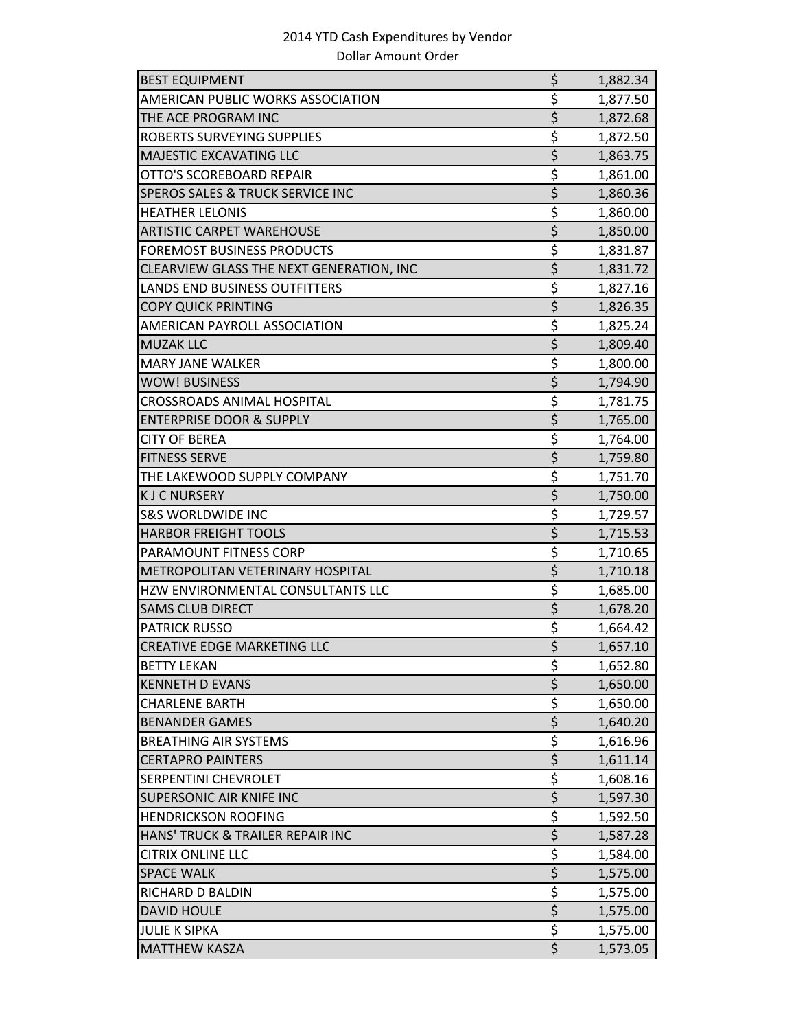| <b>BEST EQUIPMENT</b>                    | \$                                  | 1,882.34 |
|------------------------------------------|-------------------------------------|----------|
| AMERICAN PUBLIC WORKS ASSOCIATION        | \$                                  | 1,877.50 |
| THE ACE PROGRAM INC                      | \$                                  | 1,872.68 |
| <b>ROBERTS SURVEYING SUPPLIES</b>        | \$                                  | 1,872.50 |
| MAJESTIC EXCAVATING LLC                  | $\overline{\boldsymbol{\zeta}}$     | 1,863.75 |
| OTTO'S SCOREBOARD REPAIR                 | \$                                  | 1,861.00 |
| SPEROS SALES & TRUCK SERVICE INC         | \$                                  | 1,860.36 |
| <b>HEATHER LELONIS</b>                   | \$                                  | 1,860.00 |
| <b>ARTISTIC CARPET WAREHOUSE</b>         | $\overline{\xi}$                    | 1,850.00 |
| <b>FOREMOST BUSINESS PRODUCTS</b>        | \$                                  | 1,831.87 |
| CLEARVIEW GLASS THE NEXT GENERATION, INC | $\overline{\xi}$                    | 1,831.72 |
| LANDS END BUSINESS OUTFITTERS            | \$                                  | 1,827.16 |
| <b>COPY QUICK PRINTING</b>               | $\overline{\xi}$                    | 1,826.35 |
| AMERICAN PAYROLL ASSOCIATION             | \$                                  | 1,825.24 |
| <b>MUZAK LLC</b>                         | $\overline{\xi}$                    | 1,809.40 |
| <b>MARY JANE WALKER</b>                  | \$                                  | 1,800.00 |
| <b>WOW! BUSINESS</b>                     | $\overline{\xi}$                    | 1,794.90 |
| <b>CROSSROADS ANIMAL HOSPITAL</b>        | \$                                  | 1,781.75 |
| <b>ENTERPRISE DOOR &amp; SUPPLY</b>      | \$                                  | 1,765.00 |
| <b>CITY OF BEREA</b>                     | $\overline{\xi}$                    | 1,764.00 |
| <b>FITNESS SERVE</b>                     | $\overline{\xi}$                    | 1,759.80 |
| THE LAKEWOOD SUPPLY COMPANY              | \$                                  | 1,751.70 |
| <b>KJCNURSERY</b>                        | $\overline{\xi}$                    | 1,750.00 |
| <b>S&amp;S WORLDWIDE INC</b>             | \$                                  | 1,729.57 |
| <b>HARBOR FREIGHT TOOLS</b>              | $\overline{\xi}$                    | 1,715.53 |
| PARAMOUNT FITNESS CORP                   | \$                                  | 1,710.65 |
| METROPOLITAN VETERINARY HOSPITAL         | $\overline{\xi}$                    | 1,710.18 |
| HZW ENVIRONMENTAL CONSULTANTS LLC        | \$                                  | 1,685.00 |
| <b>SAMS CLUB DIRECT</b>                  | $\overline{\xi}$                    | 1,678.20 |
| <b>PATRICK RUSSO</b>                     | $\overline{\xi}$                    | 1,664.42 |
| <b>CREATIVE EDGE MARKETING LLC</b>       | $\overline{\xi}$                    | 1,657.10 |
| <b>BETTY LEKAN</b>                       | \$                                  | 1,652.80 |
| <b>KENNETH D EVANS</b>                   | $\overline{\xi}$                    | 1,650.00 |
| <b>CHARLENE BARTH</b>                    | \$                                  | 1,650.00 |
| <b>BENANDER GAMES</b>                    | $\overline{\xi}$                    | 1,640.20 |
| <b>BREATHING AIR SYSTEMS</b>             | $\overline{\xi}$                    | 1,616.96 |
| <b>CERTAPRO PAINTERS</b>                 | $\overline{\boldsymbol{\varsigma}}$ | 1,611.14 |
| SERPENTINI CHEVROLET                     | \$                                  | 1,608.16 |
| SUPERSONIC AIR KNIFE INC                 | $\overline{\boldsymbol{\varsigma}}$ | 1,597.30 |
| <b>HENDRICKSON ROOFING</b>               | $\overline{\boldsymbol{\zeta}}$     | 1,592.50 |
| HANS' TRUCK & TRAILER REPAIR INC         | $\overline{\xi}$                    | 1,587.28 |
| <b>CITRIX ONLINE LLC</b>                 | \$                                  | 1,584.00 |
| <b>SPACE WALK</b>                        | $\overline{\xi}$                    | 1,575.00 |
| RICHARD D BALDIN                         | $\overline{\xi}$                    | 1,575.00 |
| <b>DAVID HOULE</b>                       | $\overline{\xi}$                    | 1,575.00 |
| <b>JULIE K SIPKA</b>                     | \$                                  | 1,575.00 |
| <b>MATTHEW KASZA</b>                     |                                     | 1,573.05 |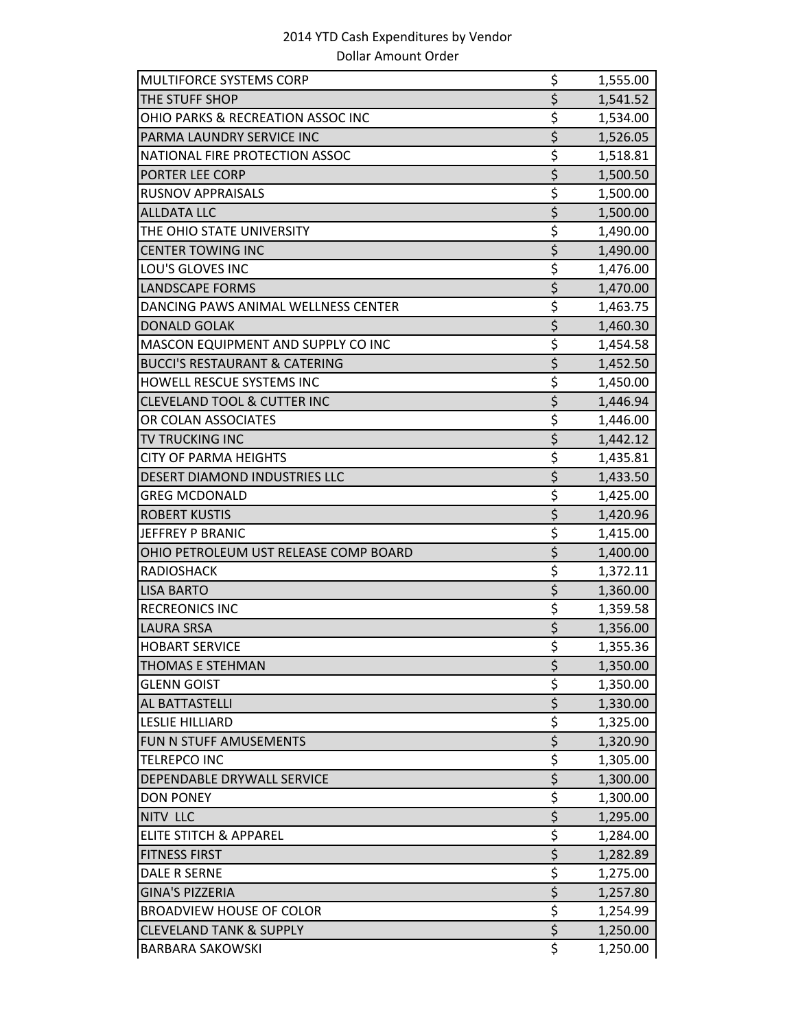| MULTIFORCE SYSTEMS CORP                  | \$                                  | 1,555.00 |
|------------------------------------------|-------------------------------------|----------|
| THE STUFF SHOP                           | $\overline{\xi}$                    | 1,541.52 |
| OHIO PARKS & RECREATION ASSOC INC        | \$                                  | 1,534.00 |
| PARMA LAUNDRY SERVICE INC                | $\overline{\xi}$                    | 1,526.05 |
| NATIONAL FIRE PROTECTION ASSOC           | \$                                  | 1,518.81 |
| PORTER LEE CORP                          | $\overline{\xi}$                    | 1,500.50 |
| <b>RUSNOV APPRAISALS</b>                 | \$                                  | 1,500.00 |
| <b>ALLDATA LLC</b>                       | $\overline{\xi}$                    | 1,500.00 |
| THE OHIO STATE UNIVERSITY                | \$                                  | 1,490.00 |
| <b>CENTER TOWING INC</b>                 | $\overline{\xi}$                    | 1,490.00 |
| LOU'S GLOVES INC                         | \$                                  | 1,476.00 |
| <b>LANDSCAPE FORMS</b>                   | \$                                  | 1,470.00 |
| DANCING PAWS ANIMAL WELLNESS CENTER      | \$                                  | 1,463.75 |
| <b>DONALD GOLAK</b>                      | $\overline{\xi}$                    | 1,460.30 |
| MASCON EQUIPMENT AND SUPPLY CO INC       | \$                                  | 1,454.58 |
| <b>BUCCI'S RESTAURANT &amp; CATERING</b> | $\overline{\xi}$                    | 1,452.50 |
| HOWELL RESCUE SYSTEMS INC                | \$                                  | 1,450.00 |
| <b>CLEVELAND TOOL &amp; CUTTER INC</b>   | $\overline{\xi}$                    | 1,446.94 |
| OR COLAN ASSOCIATES                      | \$                                  | 1,446.00 |
| TV TRUCKING INC                          | $\overline{\xi}$                    | 1,442.12 |
| <b>CITY OF PARMA HEIGHTS</b>             | \$                                  | 1,435.81 |
| DESERT DIAMOND INDUSTRIES LLC            | $\overline{\xi}$                    | 1,433.50 |
| <b>GREG MCDONALD</b>                     | \$                                  | 1,425.00 |
| <b>ROBERT KUSTIS</b>                     | \$                                  | 1,420.96 |
| <b>JEFFREY P BRANIC</b>                  | \$                                  | 1,415.00 |
| OHIO PETROLEUM UST RELEASE COMP BOARD    | $\overline{\boldsymbol{\varsigma}}$ | 1,400.00 |
| <b>RADIOSHACK</b>                        | \$                                  | 1,372.11 |
| <b>LISA BARTO</b>                        | $\overline{\xi}$                    | 1,360.00 |
| <b>RECREONICS INC</b>                    | \$                                  | 1,359.58 |
| LAURA SRSA                               | $\overline{\boldsymbol{\varsigma}}$ | 1,356.00 |
| <b>HOBART SERVICE</b>                    | \$                                  | 1,355.36 |
| THOMAS E STEHMAN                         | \$                                  | 1,350.00 |
| <b>GLENN GOIST</b>                       | \$                                  | 1,350.00 |
| AL BATTASTELLI                           | $\overline{\xi}$                    | 1,330.00 |
| <b>LESLIE HILLIARD</b>                   | \$                                  | 1,325.00 |
| FUN N STUFF AMUSEMENTS                   | $\overline{\xi}$                    | 1,320.90 |
| <b>TELREPCO INC</b>                      | $\overline{\boldsymbol{\zeta}}$     | 1,305.00 |
| DEPENDABLE DRYWALL SERVICE               | $\overline{\xi}$                    | 1,300.00 |
| <b>DON PONEY</b>                         | \$                                  | 1,300.00 |
| NITV LLC                                 | $\overline{\xi}$                    | 1,295.00 |
| <b>ELITE STITCH &amp; APPAREL</b>        | $\overline{\boldsymbol{\zeta}}$     | 1,284.00 |
| <b>FITNESS FIRST</b>                     | $\overline{\xi}$                    | 1,282.89 |
| <b>DALE R SERNE</b>                      | \$                                  | 1,275.00 |
| <b>GINA'S PIZZERIA</b>                   | $\overline{\boldsymbol{\varsigma}}$ | 1,257.80 |
| <b>BROADVIEW HOUSE OF COLOR</b>          | \$                                  | 1,254.99 |
| <b>CLEVELAND TANK &amp; SUPPLY</b>       | $\overline{\xi}$                    | 1,250.00 |
| <b>BARBARA SAKOWSKI</b>                  | \$                                  | 1,250.00 |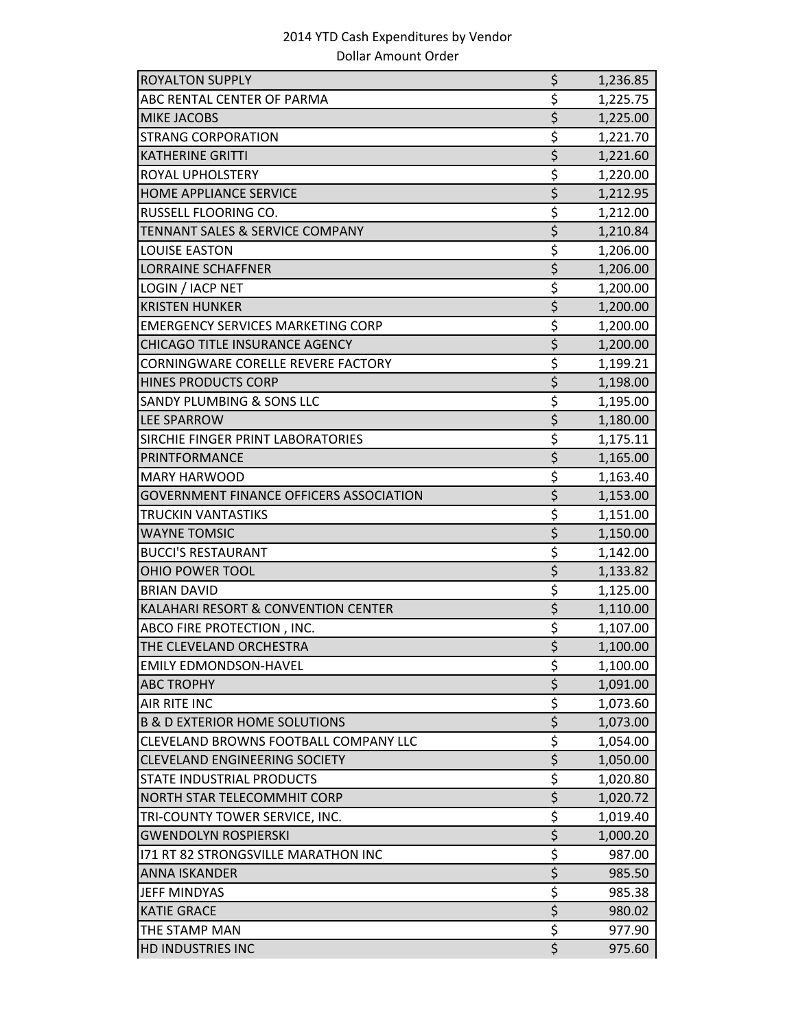| <b>ROYALTON SUPPLY</b>                         | \$               | 1,236.85 |
|------------------------------------------------|------------------|----------|
| ABC RENTAL CENTER OF PARMA                     | \$               | 1,225.75 |
| MIKE JACOBS                                    | \$               | 1,225.00 |
| <b>STRANG CORPORATION</b>                      | \$               | 1,221.70 |
| <b>KATHERINE GRITTI</b>                        | \$               | 1,221.60 |
| ROYAL UPHOLSTERY                               | \$               | 1,220.00 |
| <b>HOME APPLIANCE SERVICE</b>                  | $\overline{\xi}$ | 1,212.95 |
| RUSSELL FLOORING CO.                           | \$               | 1,212.00 |
| <b>TENNANT SALES &amp; SERVICE COMPANY</b>     | \$               | 1,210.84 |
| <b>LOUISE EASTON</b>                           | \$               | 1,206.00 |
| <b>LORRAINE SCHAFFNER</b>                      | $\overline{\xi}$ | 1,206.00 |
| LOGIN / IACP NET                               | \$               | 1,200.00 |
| <b>KRISTEN HUNKER</b>                          | $\overline{\xi}$ | 1,200.00 |
| <b>EMERGENCY SERVICES MARKETING CORP</b>       | \$               | 1,200.00 |
| <b>CHICAGO TITLE INSURANCE AGENCY</b>          | \$               | 1,200.00 |
| <b>CORNINGWARE CORELLE REVERE FACTORY</b>      | \$               | 1,199.21 |
| <b>HINES PRODUCTS CORP</b>                     | \$               | 1,198.00 |
| SANDY PLUMBING & SONS LLC                      | \$               | 1,195.00 |
| <b>LEE SPARROW</b>                             | $\overline{\xi}$ | 1,180.00 |
| SIRCHIE FINGER PRINT LABORATORIES              | \$               | 1,175.11 |
| <b>PRINTFORMANCE</b>                           | $\overline{\xi}$ | 1,165.00 |
| <b>MARY HARWOOD</b>                            | \$               | 1,163.40 |
| <b>GOVERNMENT FINANCE OFFICERS ASSOCIATION</b> | \$               | 1,153.00 |
| TRUCKIN VANTASTIKS                             | \$               | 1,151.00 |
| <b>WAYNE TOMSIC</b>                            | \$               | 1,150.00 |
| <b>BUCCI'S RESTAURANT</b>                      | \$               | 1,142.00 |
| OHIO POWER TOOL                                | \$               | 1,133.82 |
| <b>BRIAN DAVID</b>                             | \$               | 1,125.00 |
| KALAHARI RESORT & CONVENTION CENTER            | \$               | 1,110.00 |
| ABCO FIRE PROTECTION, INC.                     | \$               | 1,107.00 |
| THE CLEVELAND ORCHESTRA                        | $\overline{\xi}$ | 1,100.00 |
| EMILY EDMONDSON-HAVEL                          | \$               | 1,100.00 |
| <b>ABC TROPHY</b>                              | \$               | 1,091.00 |
| AIR RITE INC                                   | \$               | 1,073.60 |
| <b>B &amp; D EXTERIOR HOME SOLUTIONS</b>       | $\overline{\xi}$ | 1,073.00 |
| CLEVELAND BROWNS FOOTBALL COMPANY LLC          | \$               | 1,054.00 |
| <b>CLEVELAND ENGINEERING SOCIETY</b>           | \$               | 1,050.00 |
| <b>STATE INDUSTRIAL PRODUCTS</b>               | \$               | 1,020.80 |
| NORTH STAR TELECOMMHIT CORP                    | $\overline{\xi}$ | 1,020.72 |
| TRI-COUNTY TOWER SERVICE, INC.                 | \$               | 1,019.40 |
| <b>GWENDOLYN ROSPIERSKI</b>                    | $\overline{\xi}$ | 1,000.20 |
| 171 RT 82 STRONGSVILLE MARATHON INC            | \$               | 987.00   |
| <b>ANNA ISKANDER</b>                           | $\overline{\xi}$ | 985.50   |
| <b>JEFF MINDYAS</b>                            | \$               | 985.38   |
| <b>KATIE GRACE</b>                             | $\overline{\xi}$ | 980.02   |
| THE STAMP MAN                                  | \$               | 977.90   |
| HD INDUSTRIES INC                              | $\overline{\xi}$ | 975.60   |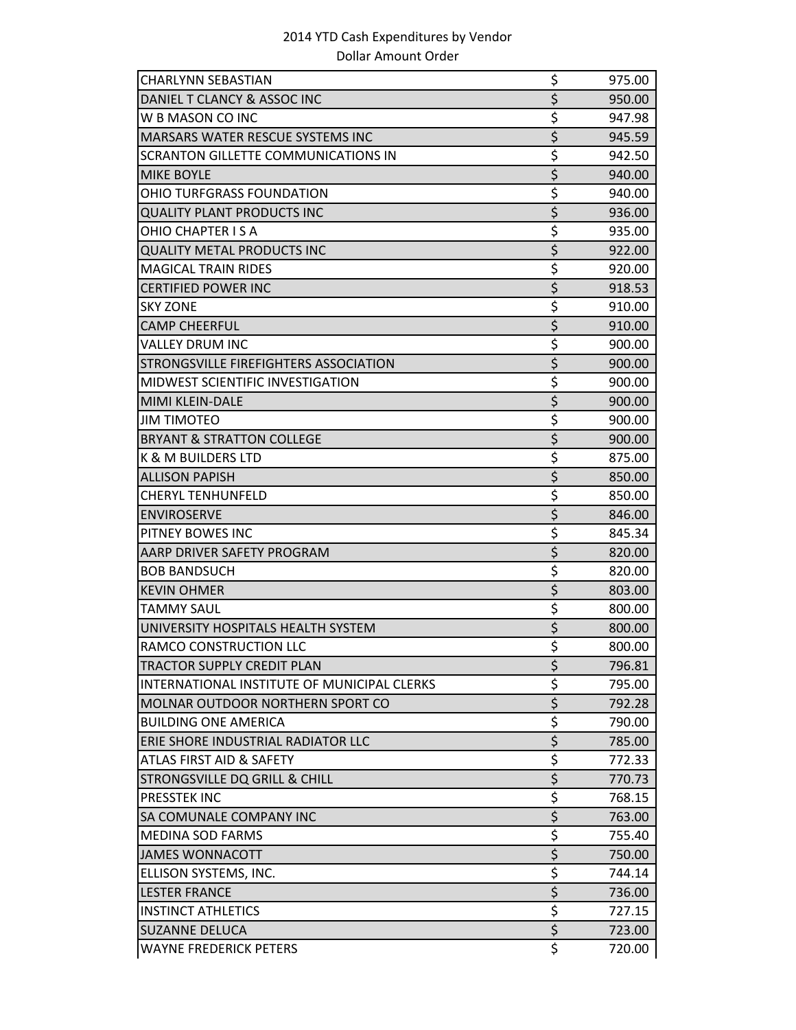| CHARLYNN SEBASTIAN                          | \$                                  | 975.00 |
|---------------------------------------------|-------------------------------------|--------|
| DANIEL T CLANCY & ASSOC INC                 | \$                                  | 950.00 |
| W B MASON CO INC                            | \$                                  | 947.98 |
| <b>MARSARS WATER RESCUE SYSTEMS INC</b>     | $\overline{\xi}$                    | 945.59 |
| SCRANTON GILLETTE COMMUNICATIONS IN         | \$                                  | 942.50 |
| <b>MIKE BOYLE</b>                           | \$                                  | 940.00 |
| OHIO TURFGRASS FOUNDATION                   | \$                                  | 940.00 |
| <b>QUALITY PLANT PRODUCTS INC</b>           | \$                                  | 936.00 |
| OHIO CHAPTER IS A                           | \$                                  | 935.00 |
| <b>QUALITY METAL PRODUCTS INC</b>           | \$                                  | 922.00 |
| <b>MAGICAL TRAIN RIDES</b>                  | \$                                  | 920.00 |
| <b>CERTIFIED POWER INC</b>                  | \$                                  | 918.53 |
| <b>SKY ZONE</b>                             | \$                                  | 910.00 |
| <b>CAMP CHEERFUL</b>                        | $\overline{\xi}$                    | 910.00 |
| <b>VALLEY DRUM INC</b>                      | \$                                  | 900.00 |
| STRONGSVILLE FIREFIGHTERS ASSOCIATION       | $\overline{\xi}$                    | 900.00 |
| <b>MIDWEST SCIENTIFIC INVESTIGATION</b>     | \$                                  | 900.00 |
| <b>MIMI KLEIN-DALE</b>                      | \$                                  | 900.00 |
| <b>JIM TIMOTEO</b>                          | \$                                  | 900.00 |
| <b>BRYANT &amp; STRATTON COLLEGE</b>        | \$                                  | 900.00 |
| K & M BUILDERS LTD                          | \$                                  | 875.00 |
| <b>ALLISON PAPISH</b>                       | \$                                  | 850.00 |
| <b>CHERYL TENHUNFELD</b>                    | \$                                  | 850.00 |
| <b>ENVIROSERVE</b>                          | \$                                  | 846.00 |
| PITNEY BOWES INC                            | \$                                  | 845.34 |
| AARP DRIVER SAFETY PROGRAM                  | \$                                  | 820.00 |
| <b>BOB BANDSUCH</b>                         | \$                                  | 820.00 |
| <b>KEVIN OHMER</b>                          | $\overline{\xi}$                    | 803.00 |
| <b>TAMMY SAUL</b>                           | \$                                  | 800.00 |
| UNIVERSITY HOSPITALS HEALTH SYSTEM          | \$                                  | 800.00 |
| RAMCO CONSTRUCTION LLC                      | $\overline{\boldsymbol{\varsigma}}$ | 800.00 |
| <b>TRACTOR SUPPLY CREDIT PLAN</b>           | \$                                  | 796.81 |
| INTERNATIONAL INSTITUTE OF MUNICIPAL CLERKS | \$                                  | 795.00 |
| MOLNAR OUTDOOR NORTHERN SPORT CO            | \$                                  | 792.28 |
| <b>BUILDING ONE AMERICA</b>                 | \$                                  | 790.00 |
| ERIE SHORE INDUSTRIAL RADIATOR LLC          | $\overline{\xi}$                    | 785.00 |
| <b>ATLAS FIRST AID &amp; SAFETY</b>         | \$                                  | 772.33 |
| <b>STRONGSVILLE DQ GRILL &amp; CHILL</b>    | \$                                  | 770.73 |
| PRESSTEK INC                                | $\frac{5}{5}$                       | 768.15 |
| SA COMUNALE COMPANY INC                     |                                     | 763.00 |
| <b>MEDINA SOD FARMS</b>                     | \$                                  | 755.40 |
| <b>JAMES WONNACOTT</b>                      | $\overline{\xi}$                    | 750.00 |
| ELLISON SYSTEMS, INC.                       | \$                                  | 744.14 |
| <b>LESTER FRANCE</b>                        | \$                                  | 736.00 |
| <b>INSTINCT ATHLETICS</b>                   | \$                                  | 727.15 |
| <b>SUZANNE DELUCA</b>                       | $\overline{\xi}$                    | 723.00 |
| <b>WAYNE FREDERICK PETERS</b>               | \$                                  | 720.00 |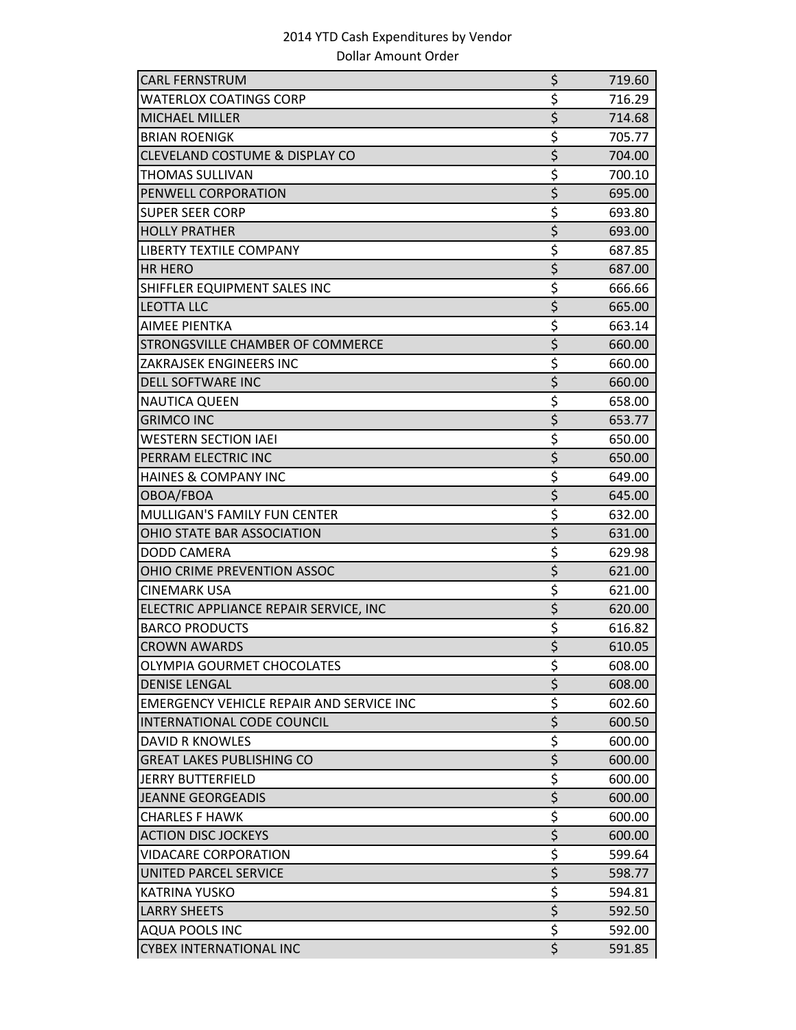| <b>CARL FERNSTRUM</b>                           | \$                                  | 719.60 |
|-------------------------------------------------|-------------------------------------|--------|
| <b>WATERLOX COATINGS CORP</b>                   | \$                                  | 716.29 |
| <b>MICHAEL MILLER</b>                           | $\overline{\xi}$                    | 714.68 |
| <b>BRIAN ROENIGK</b>                            | $\overline{\mathcal{S}}$            | 705.77 |
| CLEVELAND COSTUME & DISPLAY CO                  | $\overline{\boldsymbol{\varsigma}}$ | 704.00 |
| <b>THOMAS SULLIVAN</b>                          | \$                                  | 700.10 |
| PENWELL CORPORATION                             | $\overline{\boldsymbol{\zeta}}$     | 695.00 |
| <b>SUPER SEER CORP</b>                          | \$                                  | 693.80 |
| <b>HOLLY PRATHER</b>                            | \$                                  | 693.00 |
| <b>LIBERTY TEXTILE COMPANY</b>                  | \$                                  | 687.85 |
| <b>HR HERO</b>                                  | \$                                  | 687.00 |
| SHIFFLER EQUIPMENT SALES INC                    | \$                                  | 666.66 |
| <b>LEOTTA LLC</b>                               | \$                                  | 665.00 |
| <b>AIMEE PIENTKA</b>                            | \$                                  | 663.14 |
| STRONGSVILLE CHAMBER OF COMMERCE                | $\overline{\xi}$                    | 660.00 |
| ZAKRAJSEK ENGINEERS INC                         | \$                                  | 660.00 |
| <b>DELL SOFTWARE INC</b>                        | \$                                  | 660.00 |
| <b>NAUTICA QUEEN</b>                            | \$                                  | 658.00 |
| <b>GRIMCO INC</b>                               | \$                                  | 653.77 |
| <b>WESTERN SECTION IAEI</b>                     | $\overline{\mathsf{S}}$             | 650.00 |
| PERRAM ELECTRIC INC                             | $\overline{\xi}$                    | 650.00 |
| <b>HAINES &amp; COMPANY INC</b>                 | $\overline{\boldsymbol{\zeta}}$     | 649.00 |
| OBOA/FBOA                                       | \$                                  | 645.00 |
| <b>MULLIGAN'S FAMILY FUN CENTER</b>             | $\overline{\mathsf{S}}$             | 632.00 |
| OHIO STATE BAR ASSOCIATION                      | \$                                  | 631.00 |
| <b>DODD CAMERA</b>                              | \$                                  | 629.98 |
| OHIO CRIME PREVENTION ASSOC                     | $\overline{\xi}$                    | 621.00 |
| <b>CINEMARK USA</b>                             | $\overline{\xi}$                    | 621.00 |
| ELECTRIC APPLIANCE REPAIR SERVICE, INC          | $\overline{\xi}$                    | 620.00 |
| <b>BARCO PRODUCTS</b>                           | \$                                  | 616.82 |
| <b>CROWN AWARDS</b>                             | $\overline{\boldsymbol{\varsigma}}$ | 610.05 |
| OLYMPIA GOURMET CHOCOLATES                      | \$                                  | 608.00 |
| <b>DENISE LENGAL</b>                            | $\overline{\xi}$                    | 608.00 |
| <b>EMERGENCY VEHICLE REPAIR AND SERVICE INC</b> | \$                                  | 602.60 |
| INTERNATIONAL CODE COUNCIL                      | \$                                  | 600.50 |
| <b>DAVID R KNOWLES</b>                          | \$                                  | 600.00 |
| <b>GREAT LAKES PUBLISHING CO</b>                | $\frac{1}{5}$                       | 600.00 |
| <b>JERRY BUTTERFIELD</b>                        | \$                                  | 600.00 |
| <b>JEANNE GEORGEADIS</b>                        | $\overline{\xi}$                    | 600.00 |
| <b>CHARLES F HAWK</b>                           | \$                                  | 600.00 |
| <b>ACTION DISC JOCKEYS</b>                      | \$                                  | 600.00 |
| <b>VIDACARE CORPORATION</b>                     | \$                                  | 599.64 |
| <b>UNITED PARCEL SERVICE</b>                    | \$                                  | 598.77 |
| KATRINA YUSKO                                   | $\overline{\xi}$                    | 594.81 |
| <b>LARRY SHEETS</b>                             | \$                                  | 592.50 |
| <b>AQUA POOLS INC</b>                           | \$                                  | 592.00 |
| <b>CYBEX INTERNATIONAL INC</b>                  | $\overline{\xi}$                    | 591.85 |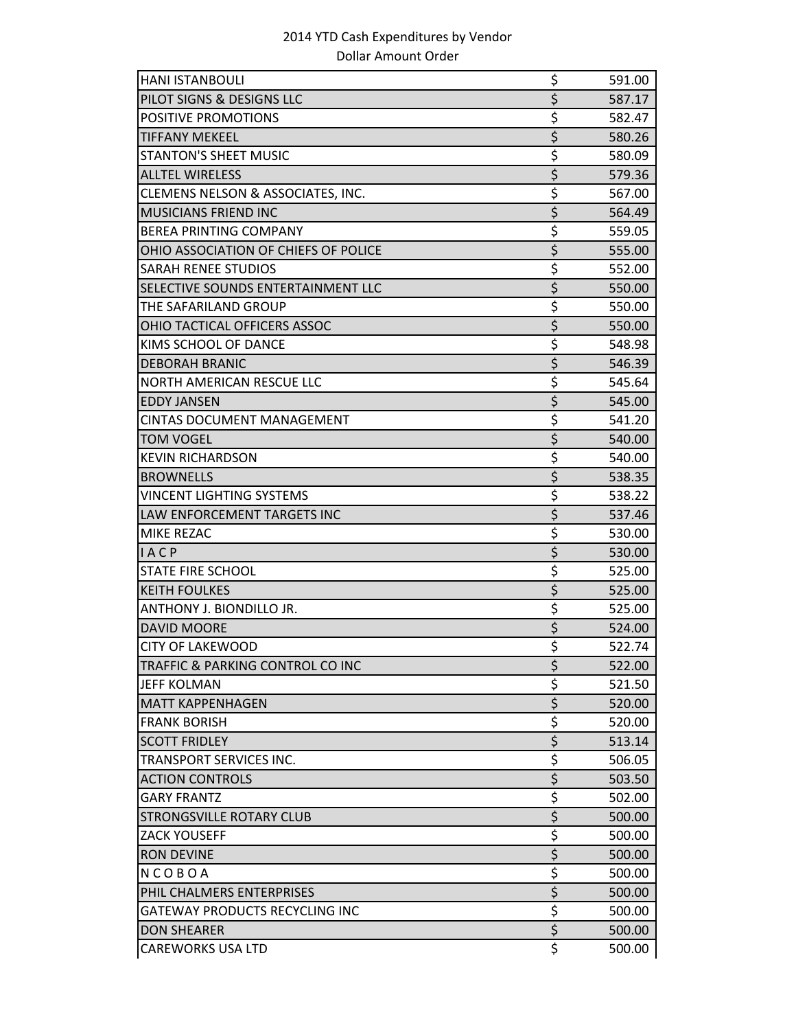| <b>HANI ISTANBOULI</b>                | \$                                  | 591.00 |
|---------------------------------------|-------------------------------------|--------|
| PILOT SIGNS & DESIGNS LLC             | $\overline{\xi}$                    | 587.17 |
| POSITIVE PROMOTIONS                   | \$                                  | 582.47 |
| <b>TIFFANY MEKEEL</b>                 | $\overline{\xi}$                    | 580.26 |
| <b>STANTON'S SHEET MUSIC</b>          | \$                                  | 580.09 |
| <b>ALLTEL WIRELESS</b>                | \$                                  | 579.36 |
| CLEMENS NELSON & ASSOCIATES, INC.     | \$                                  | 567.00 |
| <b>MUSICIANS FRIEND INC</b>           | \$                                  | 564.49 |
| <b>BEREA PRINTING COMPANY</b>         | \$                                  | 559.05 |
| OHIO ASSOCIATION OF CHIEFS OF POLICE  | \$                                  | 555.00 |
| <b>SARAH RENEE STUDIOS</b>            | \$                                  | 552.00 |
| SELECTIVE SOUNDS ENTERTAINMENT LLC    | \$                                  | 550.00 |
| THE SAFARILAND GROUP                  | \$                                  | 550.00 |
| OHIO TACTICAL OFFICERS ASSOC          | $\overline{\xi}$                    | 550.00 |
| KIMS SCHOOL OF DANCE                  | \$                                  | 548.98 |
| <b>DEBORAH BRANIC</b>                 | \$                                  | 546.39 |
| NORTH AMERICAN RESCUE LLC             | \$                                  | 545.64 |
| <b>EDDY JANSEN</b>                    | \$                                  | 545.00 |
| <b>CINTAS DOCUMENT MANAGEMENT</b>     | \$                                  | 541.20 |
| <b>TOM VOGEL</b>                      | \$                                  | 540.00 |
| <b>KEVIN RICHARDSON</b>               | \$                                  | 540.00 |
| <b>BROWNELLS</b>                      | \$                                  | 538.35 |
| <b>VINCENT LIGHTING SYSTEMS</b>       | \$                                  | 538.22 |
| LAW ENFORCEMENT TARGETS INC           | \$                                  | 537.46 |
| MIKE REZAC                            | \$                                  | 530.00 |
| <b>IACP</b>                           | $\overline{\xi}$                    | 530.00 |
| <b>STATE FIRE SCHOOL</b>              | \$                                  | 525.00 |
| <b>KEITH FOULKES</b>                  | $\overline{\xi}$                    | 525.00 |
| ANTHONY J. BIONDILLO JR.              | \$                                  | 525.00 |
| <b>DAVID MOORE</b>                    | \$                                  | 524.00 |
| <b>CITY OF LAKEWOOD</b>               | \$                                  | 522.74 |
| TRAFFIC & PARKING CONTROL CO INC      | \$                                  | 522.00 |
| <b>JEFF KOLMAN</b>                    | \$                                  | 521.50 |
| <b>MATT KAPPENHAGEN</b>               | \$                                  | 520.00 |
| <b>FRANK BORISH</b>                   | \$                                  | 520.00 |
| <b>SCOTT FRIDLEY</b>                  | \$                                  | 513.14 |
| TRANSPORT SERVICES INC.               | \$                                  | 506.05 |
| <b>ACTION CONTROLS</b>                | \$                                  | 503.50 |
| <b>GARY FRANTZ</b>                    | \$                                  | 502.00 |
| <b>STRONGSVILLE ROTARY CLUB</b>       | $\overline{\boldsymbol{\varsigma}}$ | 500.00 |
| <b>ZACK YOUSEFF</b>                   | \$                                  | 500.00 |
| <b>RON DEVINE</b>                     | $\overline{\xi}$                    | 500.00 |
| NCOBOA                                | \$                                  | 500.00 |
| PHIL CHALMERS ENTERPRISES             | \$                                  | 500.00 |
| <b>GATEWAY PRODUCTS RECYCLING INC</b> | \$                                  | 500.00 |
| <b>DON SHEARER</b>                    | $\overline{\xi}$                    | 500.00 |
| <b>CAREWORKS USA LTD</b>              | \$                                  | 500.00 |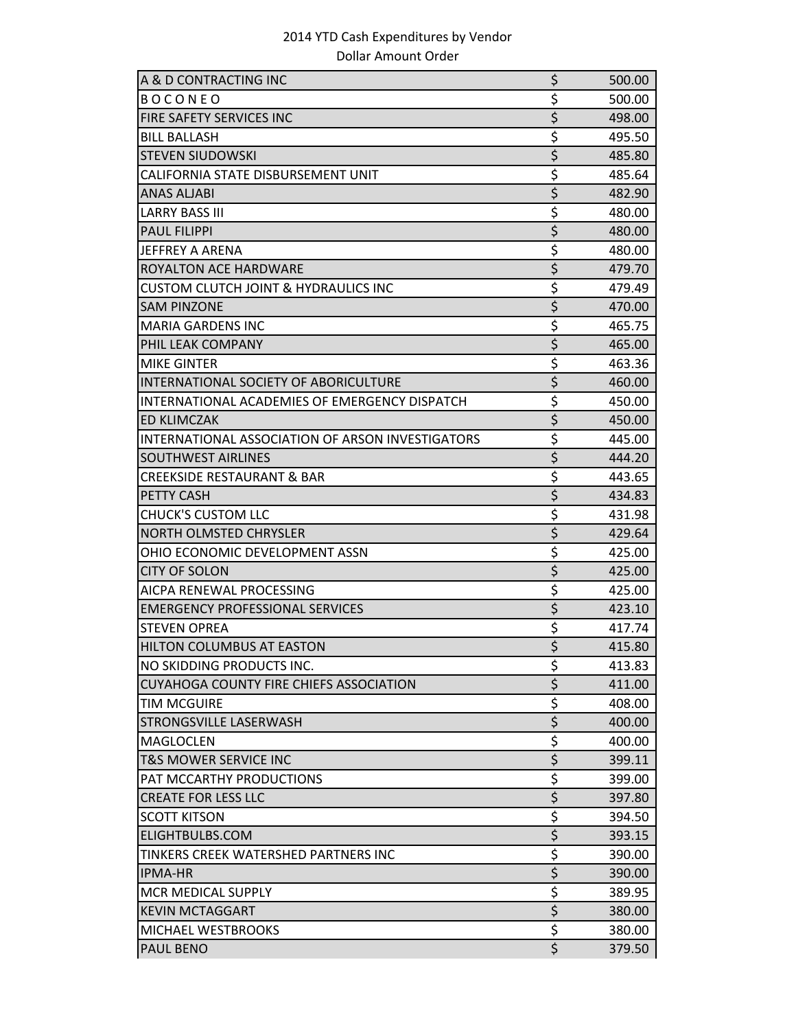| A & D CONTRACTING INC                            | \$                     | 500.00 |
|--------------------------------------------------|------------------------|--------|
| <b>BOCONEO</b>                                   | \$                     | 500.00 |
| FIRE SAFETY SERVICES INC                         | \$                     | 498.00 |
| <b>BILL BALLASH</b>                              | \$                     | 495.50 |
| <b>STEVEN SIUDOWSKI</b>                          | \$                     | 485.80 |
| CALIFORNIA STATE DISBURSEMENT UNIT               | \$                     | 485.64 |
| <b>ANAS ALJABI</b>                               | \$                     | 482.90 |
| <b>LARRY BASS III</b>                            | \$                     | 480.00 |
| <b>PAUL FILIPPI</b>                              | $\overline{\xi}$       | 480.00 |
| JEFFREY A ARENA                                  | \$                     | 480.00 |
| ROYALTON ACE HARDWARE                            | $\overline{\xi}$       | 479.70 |
| <b>CUSTOM CLUTCH JOINT &amp; HYDRAULICS INC</b>  | \$                     | 479.49 |
| <b>SAM PINZONE</b>                               | \$                     | 470.00 |
| <b>MARIA GARDENS INC</b>                         | \$                     | 465.75 |
| PHIL LEAK COMPANY                                | $\overline{\xi}$       | 465.00 |
| <b>MIKE GINTER</b>                               | \$                     | 463.36 |
| INTERNATIONAL SOCIETY OF ABORICULTURE            | \$                     | 460.00 |
| INTERNATIONAL ACADEMIES OF EMERGENCY DISPATCH    | \$                     | 450.00 |
| <b>ED KLIMCZAK</b>                               | \$                     | 450.00 |
| INTERNATIONAL ASSOCIATION OF ARSON INVESTIGATORS | \$                     | 445.00 |
| <b>SOUTHWEST AIRLINES</b>                        | \$                     | 444.20 |
| <b>CREEKSIDE RESTAURANT &amp; BAR</b>            | \$                     | 443.65 |
| PETTY CASH                                       | \$                     | 434.83 |
| <b>CHUCK'S CUSTOM LLC</b>                        | \$                     | 431.98 |
| <b>NORTH OLMSTED CHRYSLER</b>                    | \$                     | 429.64 |
| OHIO ECONOMIC DEVELOPMENT ASSN                   | \$                     | 425.00 |
| <b>CITY OF SOLON</b>                             | \$                     | 425.00 |
| AICPA RENEWAL PROCESSING                         | \$                     | 425.00 |
| <b>EMERGENCY PROFESSIONAL SERVICES</b>           | \$                     | 423.10 |
| <b>STEVEN OPREA</b>                              | \$                     | 417.74 |
| <b>HILTON COLUMBUS AT EASTON</b>                 | \$                     | 415.80 |
| NO SKIDDING PRODUCTS INC.                        | \$                     | 413.83 |
| <b>CUYAHOGA COUNTY FIRE CHIEFS ASSOCIATION</b>   | \$                     | 411.00 |
| TIM MCGUIRE                                      | \$                     | 408.00 |
| STRONGSVILLE LASERWASH                           | $\overline{\xi}$       | 400.00 |
| <b>MAGLOCLEN</b>                                 | $\overline{\xi}$       | 400.00 |
| <b>T&amp;S MOWER SERVICE INC</b>                 | \$                     | 399.11 |
| PAT MCCARTHY PRODUCTIONS                         | \$                     | 399.00 |
| <b>CREATE FOR LESS LLC</b>                       | $\overline{\xi}$       | 397.80 |
| <b>SCOTT KITSON</b>                              | \$                     | 394.50 |
| ELIGHTBULBS.COM                                  | $\overline{\xi}$       | 393.15 |
| TINKERS CREEK WATERSHED PARTNERS INC             | \$                     | 390.00 |
| <b>IPMA-HR</b>                                   | $\overline{\xi}$       | 390.00 |
| <b>MCR MEDICAL SUPPLY</b>                        | \$<br>$\overline{\xi}$ | 389.95 |
| <b>KEVIN MCTAGGART</b>                           |                        | 380.00 |
| MICHAEL WESTBROOKS                               | \$                     | 380.00 |
| PAUL BENO                                        | $\overline{\xi}$       | 379.50 |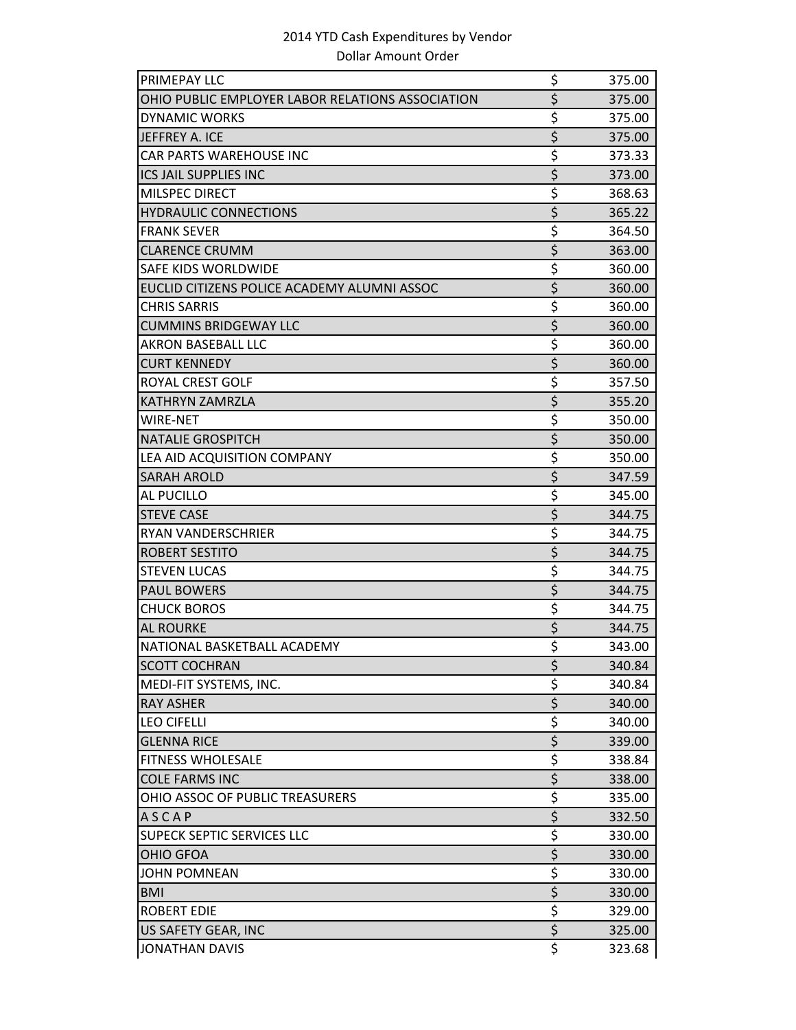| PRIMEPAY LLC                                     | \$                              | 375.00 |
|--------------------------------------------------|---------------------------------|--------|
| OHIO PUBLIC EMPLOYER LABOR RELATIONS ASSOCIATION | \$                              | 375.00 |
| <b>DYNAMIC WORKS</b>                             | \$                              | 375.00 |
| JEFFREY A. ICE                                   | \$                              | 375.00 |
| <b>CAR PARTS WAREHOUSE INC</b>                   | \$                              | 373.33 |
| ICS JAIL SUPPLIES INC                            | $\overline{\xi}$                | 373.00 |
| MILSPEC DIRECT                                   | \$                              | 368.63 |
| <b>HYDRAULIC CONNECTIONS</b>                     | \$                              | 365.22 |
| <b>FRANK SEVER</b>                               | \$                              | 364.50 |
| <b>CLARENCE CRUMM</b>                            | \$                              | 363.00 |
| SAFE KIDS WORLDWIDE                              | \$                              | 360.00 |
| EUCLID CITIZENS POLICE ACADEMY ALUMNI ASSOC      | \$                              | 360.00 |
| <b>CHRIS SARRIS</b>                              | \$                              | 360.00 |
| <b>CUMMINS BRIDGEWAY LLC</b>                     | \$                              | 360.00 |
| <b>AKRON BASEBALL LLC</b>                        | \$                              | 360.00 |
| <b>CURT KENNEDY</b>                              | \$                              | 360.00 |
| ROYAL CREST GOLF                                 | \$                              | 357.50 |
| <b>KATHRYN ZAMRZLA</b>                           | $\overline{\xi}$                | 355.20 |
| WIRE-NET                                         | \$                              | 350.00 |
| <b>NATALIE GROSPITCH</b>                         | $\overline{\xi}$                | 350.00 |
| LEA AID ACQUISITION COMPANY                      | \$                              | 350.00 |
| <b>SARAH AROLD</b>                               | \$                              | 347.59 |
| AL PUCILLO                                       | \$                              | 345.00 |
| <b>STEVE CASE</b>                                | \$                              | 344.75 |
| RYAN VANDERSCHRIER                               | \$                              | 344.75 |
| ROBERT SESTITO                                   | \$                              | 344.75 |
| <b>STEVEN LUCAS</b>                              | \$                              | 344.75 |
| <b>PAUL BOWERS</b>                               | \$                              | 344.75 |
| <b>CHUCK BOROS</b>                               | \$                              | 344.75 |
| <b>AL ROURKE</b>                                 | $\overline{\xi}$                | 344.75 |
| NATIONAL BASKETBALL ACADEMY                      | \$                              | 343.00 |
| <b>SCOTT COCHRAN</b>                             | \$                              | 340.84 |
| MEDI-FIT SYSTEMS, INC.                           | \$                              | 340.84 |
| <b>RAY ASHER</b>                                 | $\overline{\xi}$                | 340.00 |
| <b>LEO CIFELLI</b>                               | \$                              | 340.00 |
| <b>GLENNA RICE</b>                               | $\overline{\xi}$                | 339.00 |
| <b>FITNESS WHOLESALE</b>                         | \$                              | 338.84 |
| <b>COLE FARMS INC</b>                            | $\overline{\xi}$                | 338.00 |
| OHIO ASSOC OF PUBLIC TREASURERS                  | \$                              | 335.00 |
| <b>ASCAP</b>                                     | \$                              | 332.50 |
| SUPECK SEPTIC SERVICES LLC                       | \$                              | 330.00 |
| <b>OHIO GFOA</b>                                 | $\overline{\xi}$                | 330.00 |
| <b>JOHN POMNEAN</b>                              | $\frac{5}{5}$                   | 330.00 |
| <b>BMI</b>                                       |                                 | 330.00 |
| <b>ROBERT EDIE</b>                               | $\overline{\xi}$                | 329.00 |
| US SAFETY GEAR, INC                              | $\overline{\xi}$                | 325.00 |
| <b>JONATHAN DAVIS</b>                            | $\overline{\boldsymbol{\zeta}}$ | 323.68 |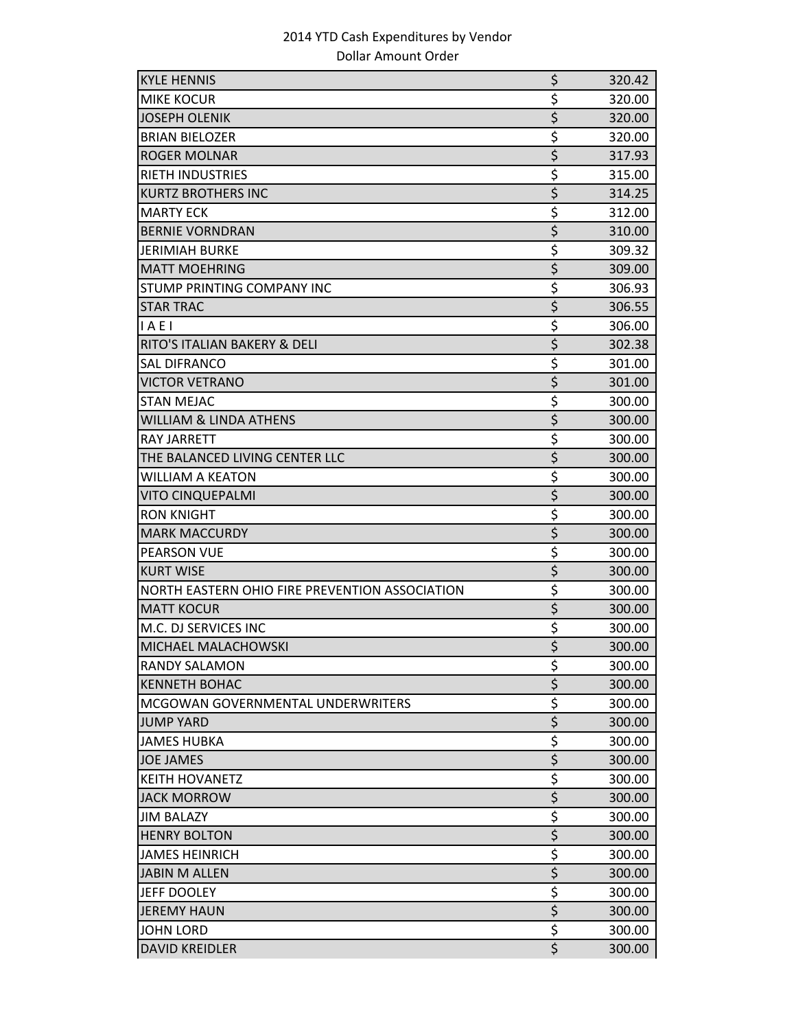| <b>KYLE HENNIS</b>                             | \$                              | 320.42 |
|------------------------------------------------|---------------------------------|--------|
| <b>MIKE KOCUR</b>                              | \$                              | 320.00 |
| <b>JOSEPH OLENIK</b>                           | \$                              | 320.00 |
| <b>BRIAN BIELOZER</b>                          | \$                              | 320.00 |
| <b>ROGER MOLNAR</b>                            | \$                              | 317.93 |
| RIETH INDUSTRIES                               | \$                              | 315.00 |
| <b>KURTZ BROTHERS INC</b>                      | $\overline{\xi}$                | 314.25 |
| <b>MARTY ECK</b>                               | \$                              | 312.00 |
| <b>BERNIE VORNDRAN</b>                         | $\overline{\xi}$                | 310.00 |
| <b>JERIMIAH BURKE</b>                          | \$                              | 309.32 |
| <b>MATT MOEHRING</b>                           | \$                              | 309.00 |
| <b>STUMP PRINTING COMPANY INC</b>              | \$                              | 306.93 |
| <b>STAR TRAC</b>                               | \$                              | 306.55 |
| IAE1                                           | \$                              | 306.00 |
| <b>RITO'S ITALIAN BAKERY &amp; DELI</b>        | \$                              | 302.38 |
| <b>SAL DIFRANCO</b>                            | \$                              | 301.00 |
| <b>VICTOR VETRANO</b>                          | \$                              | 301.00 |
| <b>STAN MEJAC</b>                              | \$                              | 300.00 |
| <b>WILLIAM &amp; LINDA ATHENS</b>              | $\overline{\xi}$                | 300.00 |
| <b>RAY JARRETT</b>                             | \$                              | 300.00 |
| THE BALANCED LIVING CENTER LLC                 | \$                              | 300.00 |
| <b>WILLIAM A KEATON</b>                        | \$                              | 300.00 |
| <b>VITO CINQUEPALMI</b>                        | \$                              | 300.00 |
| <b>RON KNIGHT</b>                              | \$                              | 300.00 |
| <b>MARK MACCURDY</b>                           | \$                              | 300.00 |
| <b>PEARSON VUE</b>                             | \$                              | 300.00 |
| <b>KURT WISE</b>                               | \$                              | 300.00 |
| NORTH EASTERN OHIO FIRE PREVENTION ASSOCIATION | \$                              | 300.00 |
| <b>MATT KOCUR</b>                              | \$                              | 300.00 |
| M.C. DJ SERVICES INC                           | \$                              | 300.00 |
| <b>MICHAEL MALACHOWSKI</b>                     | $\overline{\boldsymbol{\zeta}}$ | 300.00 |
| <b>RANDY SALAMON</b>                           | \$                              | 300.00 |
| <b>KENNETH BOHAC</b>                           | \$                              | 300.00 |
| MCGOWAN GOVERNMENTAL UNDERWRITERS              | \$                              | 300.00 |
| <b>JUMP YARD</b>                               | $\overline{\xi}$                | 300.00 |
| <b>JAMES HUBKA</b>                             | \$                              | 300.00 |
| <b>JOE JAMES</b>                               | \$                              | 300.00 |
| <b>KEITH HOVANETZ</b>                          | \$                              | 300.00 |
| <b>JACK MORROW</b>                             | $\overline{\xi}$                | 300.00 |
| <b>JIM BALAZY</b>                              | \$                              | 300.00 |
| <b>HENRY BOLTON</b>                            | \$                              | 300.00 |
| <b>JAMES HEINRICH</b>                          | \$                              | 300.00 |
| <b>JABIN M ALLEN</b>                           | \$                              | 300.00 |
| JEFF DOOLEY                                    | \$                              | 300.00 |
| <b>JEREMY HAUN</b>                             | $\overline{\xi}$                | 300.00 |
| <b>JOHN LORD</b>                               | \$                              | 300.00 |
| <b>DAVID KREIDLER</b>                          | $\overline{\xi}$                | 300.00 |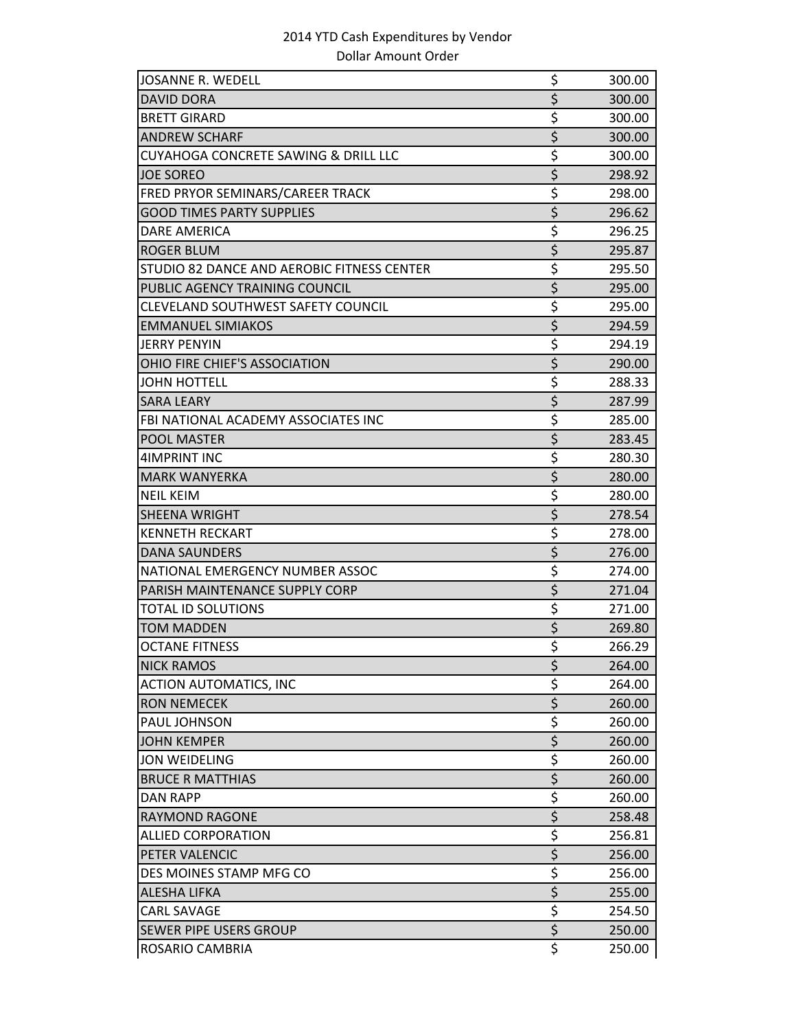| JOSANNE R. WEDELL                               | \$               | 300.00 |
|-------------------------------------------------|------------------|--------|
| <b>DAVID DORA</b>                               | $\overline{\xi}$ | 300.00 |
| <b>BRETT GIRARD</b>                             | \$               | 300.00 |
| <b>ANDREW SCHARF</b>                            | $\overline{\xi}$ | 300.00 |
| <b>CUYAHOGA CONCRETE SAWING &amp; DRILL LLC</b> | \$               | 300.00 |
| <b>JOE SOREO</b>                                | \$               | 298.92 |
| FRED PRYOR SEMINARS/CAREER TRACK                | \$               | 298.00 |
| <b>GOOD TIMES PARTY SUPPLIES</b>                | \$               | 296.62 |
| <b>DARE AMERICA</b>                             | \$               | 296.25 |
| <b>ROGER BLUM</b>                               | \$               | 295.87 |
| STUDIO 82 DANCE AND AEROBIC FITNESS CENTER      | \$               | 295.50 |
| PUBLIC AGENCY TRAINING COUNCIL                  | \$               | 295.00 |
| CLEVELAND SOUTHWEST SAFETY COUNCIL              | \$               | 295.00 |
| <b>EMMANUEL SIMIAKOS</b>                        | $\overline{\xi}$ | 294.59 |
| <b>JERRY PENYIN</b>                             | \$               | 294.19 |
| OHIO FIRE CHIEF'S ASSOCIATION                   | $\overline{\xi}$ | 290.00 |
| <b>JOHN HOTTELL</b>                             | \$               | 288.33 |
| <b>SARA LEARY</b>                               | \$               | 287.99 |
| FBI NATIONAL ACADEMY ASSOCIATES INC             | \$               | 285.00 |
| <b>POOL MASTER</b>                              | \$               | 283.45 |
| <b>4IMPRINT INC</b>                             | \$               | 280.30 |
| <b>MARK WANYERKA</b>                            | \$               | 280.00 |
| <b>NEIL KEIM</b>                                | \$               | 280.00 |
| <b>SHEENA WRIGHT</b>                            | \$               | 278.54 |
| <b>KENNETH RECKART</b>                          | \$               | 278.00 |
| <b>DANA SAUNDERS</b>                            | $\overline{\xi}$ | 276.00 |
| NATIONAL EMERGENCY NUMBER ASSOC                 | \$               | 274.00 |
| PARISH MAINTENANCE SUPPLY CORP                  | $\overline{\xi}$ | 271.04 |
| <b>TOTAL ID SOLUTIONS</b>                       | \$               | 271.00 |
| <b>TOM MADDEN</b>                               | \$               | 269.80 |
| <b>OCTANE FITNESS</b>                           | \$               | 266.29 |
| <b>NICK RAMOS</b>                               | \$               | 264.00 |
| <b>ACTION AUTOMATICS, INC</b>                   | \$               | 264.00 |
| <b>RON NEMECEK</b>                              | \$               | 260.00 |
| PAUL JOHNSON                                    | \$               | 260.00 |
| <b>JOHN KEMPER</b>                              | \$               | 260.00 |
| <b>JON WEIDELING</b>                            | \$               | 260.00 |
| <b>BRUCE R MATTHIAS</b>                         | $\overline{\xi}$ | 260.00 |
| <b>DAN RAPP</b>                                 | \$               | 260.00 |
| <b>RAYMOND RAGONE</b>                           | $\overline{\xi}$ | 258.48 |
| <b>ALLIED CORPORATION</b>                       | \$               | 256.81 |
| PETER VALENCIC                                  | $\overline{\xi}$ | 256.00 |
| DES MOINES STAMP MFG CO                         | \$               | 256.00 |
| <b>ALESHA LIFKA</b>                             | $\overline{\xi}$ | 255.00 |
| <b>CARL SAVAGE</b>                              | \$               | 254.50 |
| SEWER PIPE USERS GROUP                          | $\overline{\xi}$ | 250.00 |
| ROSARIO CAMBRIA                                 | \$               | 250.00 |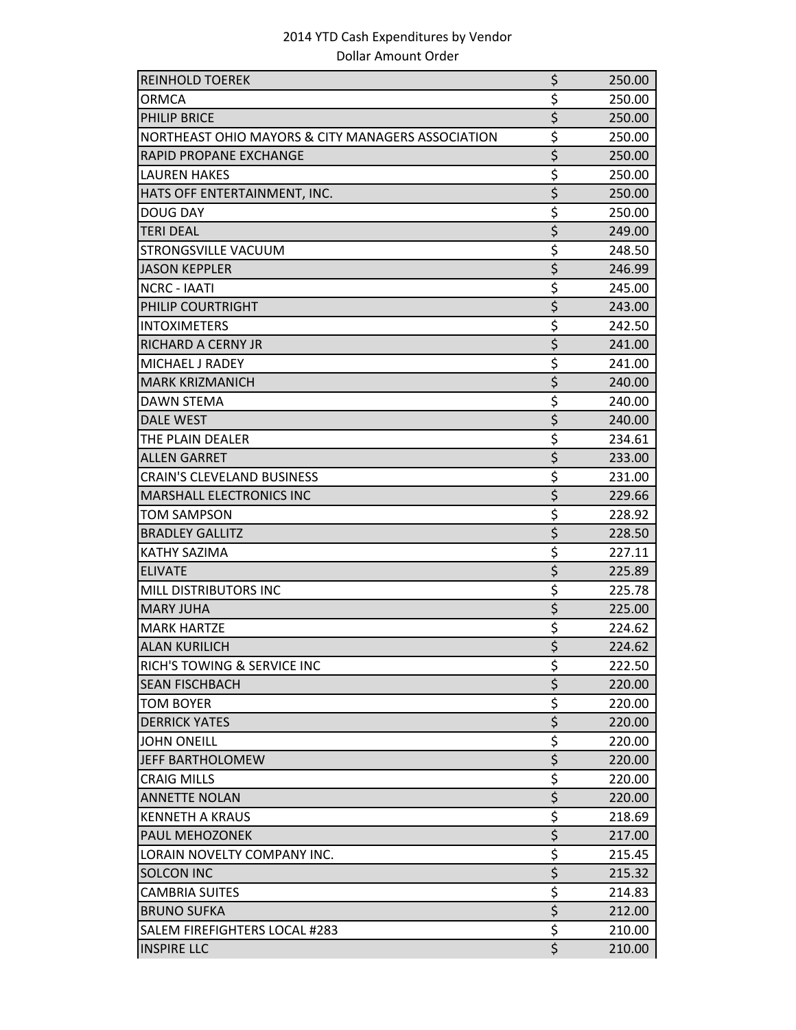| <b>REINHOLD TOEREK</b>                            | \$                                  | 250.00 |
|---------------------------------------------------|-------------------------------------|--------|
| <b>ORMCA</b>                                      | \$                                  | 250.00 |
| <b>PHILIP BRICE</b>                               | $\overline{\xi}$                    | 250.00 |
| NORTHEAST OHIO MAYORS & CITY MANAGERS ASSOCIATION | \$                                  | 250.00 |
| <b>RAPID PROPANE EXCHANGE</b>                     | $\overline{\xi}$                    | 250.00 |
| <b>LAUREN HAKES</b>                               | \$                                  | 250.00 |
| HATS OFF ENTERTAINMENT, INC.                      | \$                                  | 250.00 |
| <b>DOUG DAY</b>                                   | \$                                  | 250.00 |
| <b>TERI DEAL</b>                                  | $\overline{\xi}$                    | 249.00 |
| STRONGSVILLE VACUUM                               | \$                                  | 248.50 |
| <b>JASON KEPPLER</b>                              | $\overline{\xi}$                    | 246.99 |
| <b>NCRC - IAATI</b>                               | \$                                  | 245.00 |
| PHILIP COURTRIGHT                                 | $\overline{\xi}$                    | 243.00 |
| <b>INTOXIMETERS</b>                               | \$                                  | 242.50 |
| RICHARD A CERNY JR                                | \$                                  | 241.00 |
| MICHAEL J RADEY                                   | \$                                  | 241.00 |
| <b>MARK KRIZMANICH</b>                            | $\overline{\xi}$                    | 240.00 |
| <b>DAWN STEMA</b>                                 | \$                                  | 240.00 |
| <b>DALE WEST</b>                                  | \$                                  | 240.00 |
| THE PLAIN DEALER                                  | \$                                  | 234.61 |
| <b>ALLEN GARRET</b>                               | \$                                  | 233.00 |
| <b>CRAIN'S CLEVELAND BUSINESS</b>                 | \$                                  | 231.00 |
| MARSHALL ELECTRONICS INC                          | $\overline{\boldsymbol{\varsigma}}$ | 229.66 |
| <b>TOM SAMPSON</b>                                | \$                                  | 228.92 |
| <b>BRADLEY GALLITZ</b>                            | \$                                  | 228.50 |
| <b>KATHY SAZIMA</b>                               | \$                                  | 227.11 |
| <b>ELIVATE</b>                                    | $\overline{\xi}$                    | 225.89 |
| <b>MILL DISTRIBUTORS INC</b>                      | \$                                  | 225.78 |
| <b>MARY JUHA</b>                                  | $\overline{\xi}$                    | 225.00 |
| <b>MARK HARTZE</b>                                | \$                                  | 224.62 |
| <b>ALAN KURILICH</b>                              | $\overline{\mathsf{S}}$             | 224.62 |
| RICH'S TOWING & SERVICE INC                       | \$                                  | 222.50 |
| <b>SEAN FISCHBACH</b>                             | $\overline{\xi}$                    | 220.00 |
| <b>TOM BOYER</b>                                  | \$                                  | 220.00 |
| <b>DERRICK YATES</b>                              | $\overline{\xi}$                    | 220.00 |
| <b>JOHN ONEILL</b>                                | \$                                  | 220.00 |
| JEFF BARTHOLOMEW                                  | $\overline{\xi}$                    | 220.00 |
| <b>CRAIG MILLS</b>                                | \$                                  | 220.00 |
| <b>ANNETTE NOLAN</b>                              | $\overline{\xi}$                    | 220.00 |
| <b>KENNETH A KRAUS</b>                            | \$                                  | 218.69 |
| <b>PAUL MEHOZONEK</b>                             | $\overline{\xi}$                    | 217.00 |
| LORAIN NOVELTY COMPANY INC.                       | \$                                  | 215.45 |
| <b>SOLCON INC</b>                                 | $\overline{\xi}$                    | 215.32 |
| <b>CAMBRIA SUITES</b>                             | \$                                  | 214.83 |
| <b>BRUNO SUFKA</b>                                | $\overline{\xi}$                    | 212.00 |
| SALEM FIREFIGHTERS LOCAL #283                     | $\overline{\boldsymbol{\zeta}}$     | 210.00 |
| <b>INSPIRE LLC</b>                                | $\overline{\mathsf{S}}$             | 210.00 |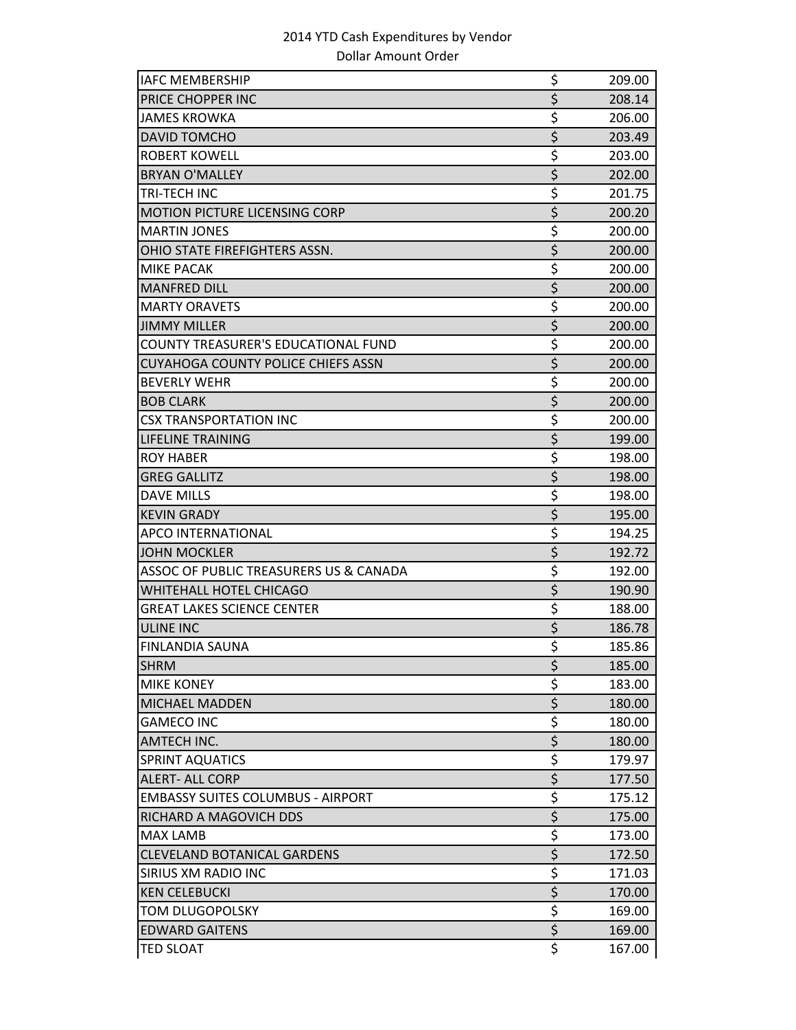| <b>IAFC MEMBERSHIP</b>                    | \$               | 209.00 |
|-------------------------------------------|------------------|--------|
| PRICE CHOPPER INC                         | $\overline{\xi}$ | 208.14 |
| <b>JAMES KROWKA</b>                       | \$               | 206.00 |
| <b>DAVID TOMCHO</b>                       | $\overline{\xi}$ | 203.49 |
| <b>ROBERT KOWELL</b>                      | \$               | 203.00 |
| <b>BRYAN O'MALLEY</b>                     | \$               | 202.00 |
| TRI-TECH INC                              | \$               | 201.75 |
| <b>MOTION PICTURE LICENSING CORP</b>      | \$               | 200.20 |
| <b>MARTIN JONES</b>                       | \$               | 200.00 |
| OHIO STATE FIREFIGHTERS ASSN.             | \$               | 200.00 |
| MIKE PACAK                                | \$               | 200.00 |
| <b>MANFRED DILL</b>                       | \$               | 200.00 |
| <b>MARTY ORAVETS</b>                      | \$               | 200.00 |
| <b>JIMMY MILLER</b>                       | $\overline{\xi}$ | 200.00 |
| COUNTY TREASURER'S EDUCATIONAL FUND       | \$               | 200.00 |
| <b>CUYAHOGA COUNTY POLICE CHIEFS ASSN</b> | $\overline{\xi}$ | 200.00 |
| <b>BEVERLY WEHR</b>                       | \$               | 200.00 |
| <b>BOB CLARK</b>                          | \$               | 200.00 |
| <b>CSX TRANSPORTATION INC</b>             | \$               | 200.00 |
| LIFELINE TRAINING                         | \$               | 199.00 |
| <b>ROY HABER</b>                          | \$               | 198.00 |
| <b>GREG GALLITZ</b>                       | \$               | 198.00 |
| <b>DAVE MILLS</b>                         | \$               | 198.00 |
| <b>KEVIN GRADY</b>                        | \$               | 195.00 |
| APCO INTERNATIONAL                        | \$               | 194.25 |
| <b>JOHN MOCKLER</b>                       | $\overline{\xi}$ | 192.72 |
| ASSOC OF PUBLIC TREASURERS US & CANADA    | \$               | 192.00 |
| <b>WHITEHALL HOTEL CHICAGO</b>            | $\overline{\xi}$ | 190.90 |
| <b>GREAT LAKES SCIENCE CENTER</b>         | \$               | 188.00 |
| <b>ULINE INC</b>                          | \$               | 186.78 |
| <b>FINLANDIA SAUNA</b>                    | \$               | 185.86 |
| <b>SHRM</b>                               | \$               | 185.00 |
| <b>MIKE KONEY</b>                         | \$               | 183.00 |
| <b>MICHAEL MADDEN</b>                     | \$               | 180.00 |
| <b>GAMECO INC</b>                         | \$               | 180.00 |
| <b>AMTECH INC.</b>                        | $\overline{\xi}$ | 180.00 |
| <b>SPRINT AQUATICS</b>                    | \$               | 179.97 |
| <b>ALERT- ALL CORP</b>                    | $\overline{\xi}$ | 177.50 |
| <b>EMBASSY SUITES COLUMBUS - AIRPORT</b>  | \$               | 175.12 |
| RICHARD A MAGOVICH DDS                    | \$               | 175.00 |
| <b>MAX LAMB</b>                           | \$               | 173.00 |
| <b>CLEVELAND BOTANICAL GARDENS</b>        | $\overline{\xi}$ | 172.50 |
| SIRIUS XM RADIO INC                       | \$               | 171.03 |
| <b>KEN CELEBUCKI</b>                      | $\overline{\xi}$ | 170.00 |
| TOM DLUGOPOLSKY                           | \$               | 169.00 |
| <b>EDWARD GAITENS</b>                     | $\overline{\xi}$ | 169.00 |
| <b>TED SLOAT</b>                          | \$               | 167.00 |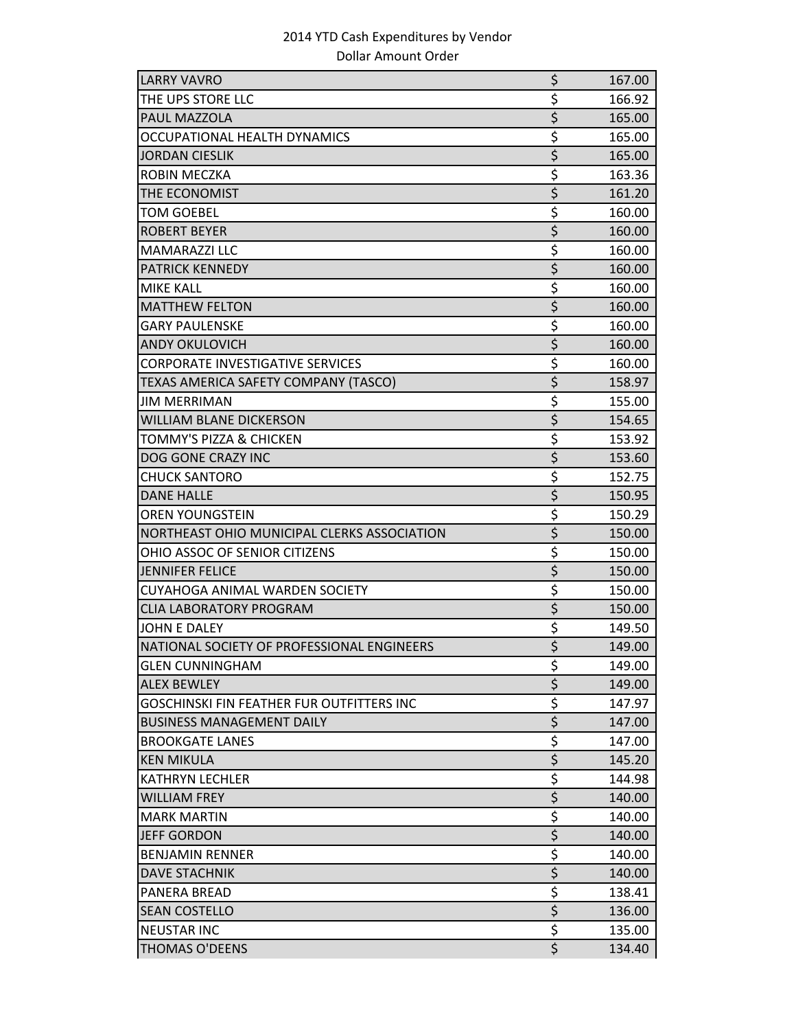| <b>LARRY VAVRO</b>                               | \$                              | 167.00 |
|--------------------------------------------------|---------------------------------|--------|
| THE UPS STORE LLC                                | \$                              | 166.92 |
| PAUL MAZZOLA                                     | \$                              | 165.00 |
| OCCUPATIONAL HEALTH DYNAMICS                     | \$                              | 165.00 |
| <b>JORDAN CIESLIK</b>                            | \$                              | 165.00 |
| ROBIN MECZKA                                     | \$                              | 163.36 |
| THE ECONOMIST                                    | \$                              | 161.20 |
| <b>TOM GOEBEL</b>                                | \$                              | 160.00 |
| <b>ROBERT BEYER</b>                              | $\overline{\xi}$                | 160.00 |
| <b>MAMARAZZI LLC</b>                             | \$                              | 160.00 |
| <b>PATRICK KENNEDY</b>                           | $\overline{\xi}$                | 160.00 |
| <b>MIKE KALL</b>                                 | \$                              | 160.00 |
| <b>MATTHEW FELTON</b>                            | \$                              | 160.00 |
| <b>GARY PAULENSKE</b>                            | \$                              | 160.00 |
| <b>ANDY OKULOVICH</b>                            | \$                              | 160.00 |
| <b>CORPORATE INVESTIGATIVE SERVICES</b>          | \$                              | 160.00 |
| TEXAS AMERICA SAFETY COMPANY (TASCO)             | \$                              | 158.97 |
| <b>JIM MERRIMAN</b>                              | \$                              | 155.00 |
| <b>WILLIAM BLANE DICKERSON</b>                   | \$                              | 154.65 |
| TOMMY'S PIZZA & CHICKEN                          | \$                              | 153.92 |
| DOG GONE CRAZY INC                               | $\overline{\xi}$                | 153.60 |
| <b>CHUCK SANTORO</b>                             | \$                              | 152.75 |
| <b>DANE HALLE</b>                                | \$                              | 150.95 |
| <b>OREN YOUNGSTEIN</b>                           | \$                              | 150.29 |
| NORTHEAST OHIO MUNICIPAL CLERKS ASSOCIATION      | \$                              | 150.00 |
| OHIO ASSOC OF SENIOR CITIZENS                    | \$                              | 150.00 |
| <b>JENNIFER FELICE</b>                           | $\overline{\xi}$                | 150.00 |
| CUYAHOGA ANIMAL WARDEN SOCIETY                   | $\overline{\xi}$                | 150.00 |
| <b>CLIA LABORATORY PROGRAM</b>                   | \$                              | 150.00 |
| <b>JOHN E DALEY</b>                              | \$                              | 149.50 |
| NATIONAL SOCIETY OF PROFESSIONAL ENGINEERS       | $\overline{\boldsymbol{\zeta}}$ | 149.00 |
| <b>GLEN CUNNINGHAM</b>                           | \$                              | 149.00 |
| <b>ALEX BEWLEY</b>                               | $\overline{\xi}$                | 149.00 |
| <b>GOSCHINSKI FIN FEATHER FUR OUTFITTERS INC</b> | \$                              | 147.97 |
| <b>BUSINESS MANAGEMENT DAILY</b>                 | $\overline{\xi}$                | 147.00 |
| <b>BROOKGATE LANES</b>                           | \$                              | 147.00 |
| <b>KEN MIKULA</b>                                | \$                              | 145.20 |
| <b>KATHRYN LECHLER</b>                           | \$                              | 144.98 |
| <b>WILLIAM FREY</b>                              | $\overline{\xi}$                | 140.00 |
| <b>MARK MARTIN</b>                               | $\overline{\xi}$                | 140.00 |
| <b>JEFF GORDON</b>                               | \$                              | 140.00 |
| <b>BENJAMIN RENNER</b>                           | \$                              | 140.00 |
| <b>DAVE STACHNIK</b>                             | \$                              | 140.00 |
| PANERA BREAD                                     | \$                              | 138.41 |
| <b>SEAN COSTELLO</b>                             | $\overline{\xi}$                | 136.00 |
| <b>NEUSTAR INC</b>                               | \$                              | 135.00 |
| <b>THOMAS O'DEENS</b>                            | $\overline{\xi}$                | 134.40 |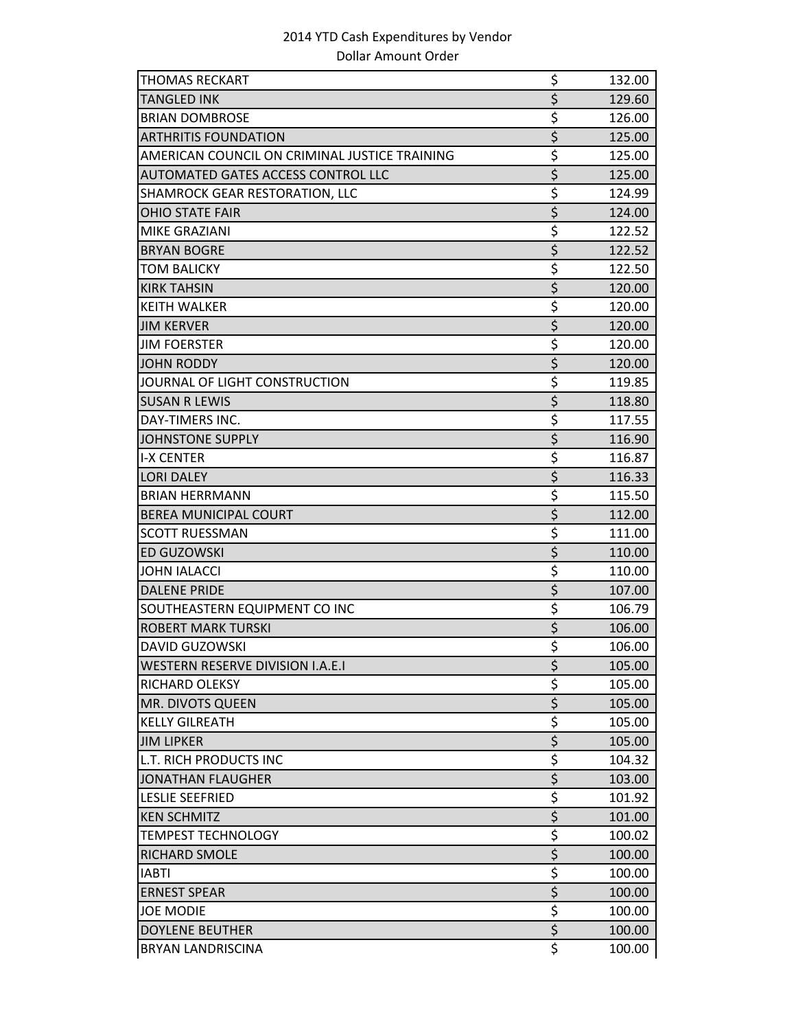| <b>THOMAS RECKART</b>                         | \$               | 132.00 |
|-----------------------------------------------|------------------|--------|
| <b>TANGLED INK</b>                            | $\overline{\xi}$ | 129.60 |
| <b>BRIAN DOMBROSE</b>                         | \$               | 126.00 |
| <b>ARTHRITIS FOUNDATION</b>                   | $\overline{\xi}$ | 125.00 |
| AMERICAN COUNCIL ON CRIMINAL JUSTICE TRAINING | \$               | 125.00 |
| AUTOMATED GATES ACCESS CONTROL LLC            | \$               | 125.00 |
| SHAMROCK GEAR RESTORATION, LLC                | \$               | 124.99 |
| <b>OHIO STATE FAIR</b>                        | $\overline{\xi}$ | 124.00 |
| MIKE GRAZIANI                                 | \$               | 122.52 |
| <b>BRYAN BOGRE</b>                            | $\overline{\xi}$ | 122.52 |
| <b>TOM BALICKY</b>                            | \$               | 122.50 |
| <b>KIRK TAHSIN</b>                            | \$               | 120.00 |
| <b>KEITH WALKER</b>                           | \$               | 120.00 |
| <b>JIM KERVER</b>                             | $\overline{\xi}$ | 120.00 |
| <b>JIM FOERSTER</b>                           | \$               | 120.00 |
| <b>JOHN RODDY</b>                             | $\overline{\xi}$ | 120.00 |
| JOURNAL OF LIGHT CONSTRUCTION                 | \$               | 119.85 |
| <b>SUSAN R LEWIS</b>                          | $\overline{\xi}$ | 118.80 |
| DAY-TIMERS INC.                               | \$               | 117.55 |
| <b>JOHNSTONE SUPPLY</b>                       | $\overline{\xi}$ | 116.90 |
| <b>I-X CENTER</b>                             | \$               | 116.87 |
| <b>LORI DALEY</b>                             | \$               | 116.33 |
| <b>BRIAN HERRMANN</b>                         | \$               | 115.50 |
| <b>BEREA MUNICIPAL COURT</b>                  | \$               | 112.00 |
| <b>SCOTT RUESSMAN</b>                         | \$               | 111.00 |
| ED GUZOWSKI                                   | $\overline{\xi}$ | 110.00 |
| <b>JOHN IALACCI</b>                           | \$               | 110.00 |
| <b>DALENE PRIDE</b>                           | $\overline{\xi}$ | 107.00 |
| SOUTHEASTERN EQUIPMENT CO INC                 | \$               | 106.79 |
| <b>ROBERT MARK TURSKI</b>                     | $\overline{\xi}$ | 106.00 |
| <b>DAVID GUZOWSKI</b>                         | $\overline{\xi}$ | 106.00 |
| <b>WESTERN RESERVE DIVISION I.A.E.I</b>       | \$               | 105.00 |
| RICHARD OLEKSY                                | \$               | 105.00 |
| MR. DIVOTS QUEEN                              | $\overline{\xi}$ | 105.00 |
| <b>KELLY GILREATH</b>                         | \$               | 105.00 |
| <b>JIM LIPKER</b>                             | $\overline{\xi}$ | 105.00 |
| <b>L.T. RICH PRODUCTS INC</b>                 | \$               | 104.32 |
| <b>JONATHAN FLAUGHER</b>                      | $\overline{\xi}$ | 103.00 |
| <b>LESLIE SEEFRIED</b>                        | \$               | 101.92 |
| <b>KEN SCHMITZ</b>                            | $\overline{\xi}$ | 101.00 |
| <b>TEMPEST TECHNOLOGY</b>                     | \$               | 100.02 |
| RICHARD SMOLE                                 | \$               | 100.00 |
| <b>IABTI</b>                                  | \$               | 100.00 |
| <b>ERNEST SPEAR</b>                           | $\overline{\xi}$ | 100.00 |
| <b>JOE MODIE</b>                              | \$               | 100.00 |
| <b>DOYLENE BEUTHER</b>                        | $\overline{\xi}$ | 100.00 |
| <b>BRYAN LANDRISCINA</b>                      | \$               | 100.00 |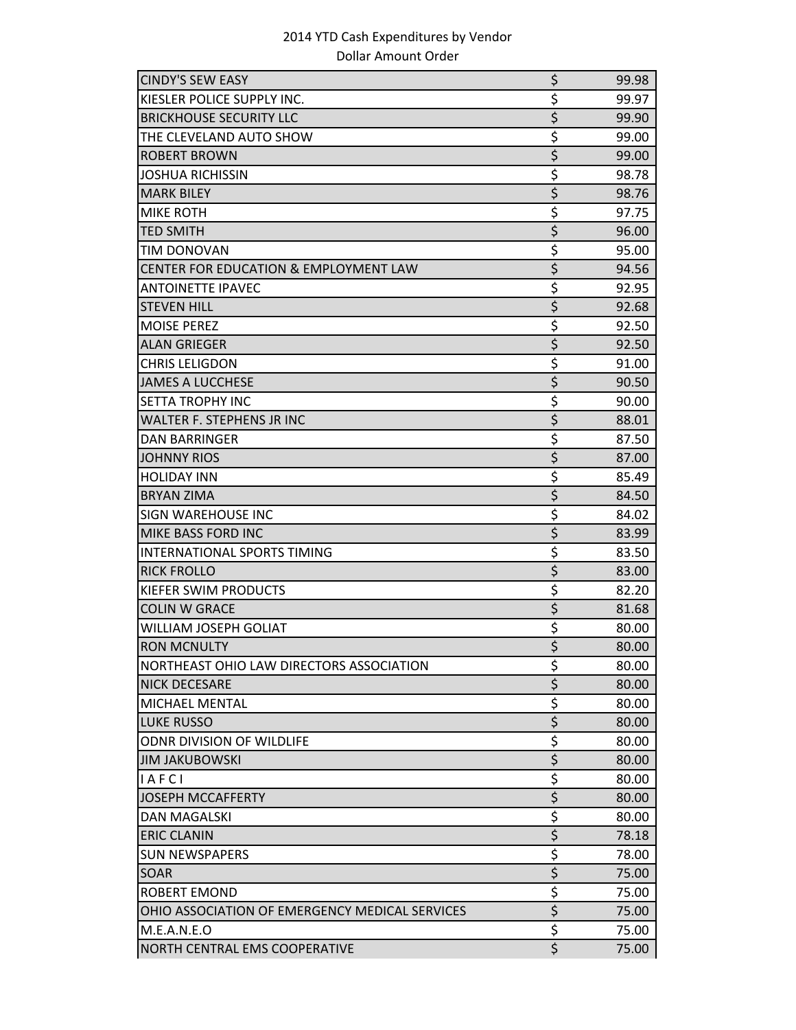| <b>CINDY'S SEW EASY</b>                        | \$               | 99.98 |
|------------------------------------------------|------------------|-------|
| KIESLER POLICE SUPPLY INC.                     | \$               | 99.97 |
| <b>BRICKHOUSE SECURITY LLC</b>                 | $\overline{\xi}$ | 99.90 |
| THE CLEVELAND AUTO SHOW                        | \$               | 99.00 |
| <b>ROBERT BROWN</b>                            | \$               | 99.00 |
| <b>JOSHUA RICHISSIN</b>                        | \$               | 98.78 |
| <b>MARK BILEY</b>                              | \$               | 98.76 |
| <b>MIKE ROTH</b>                               | \$               | 97.75 |
| <b>TED SMITH</b>                               | $\overline{\xi}$ | 96.00 |
| <b>TIM DONOVAN</b>                             | \$               | 95.00 |
| CENTER FOR EDUCATION & EMPLOYMENT LAW          | \$               | 94.56 |
| <b>ANTOINETTE IPAVEC</b>                       | \$               | 92.95 |
| <b>STEVEN HILL</b>                             | \$               | 92.68 |
| <b>MOISE PEREZ</b>                             | \$               | 92.50 |
| <b>ALAN GRIEGER</b>                            | \$               | 92.50 |
| <b>CHRIS LELIGDON</b>                          | \$               | 91.00 |
| <b>JAMES A LUCCHESE</b>                        | \$               | 90.50 |
| <b>SETTA TROPHY INC</b>                        | \$               | 90.00 |
| WALTER F. STEPHENS JR INC                      | $\overline{\xi}$ | 88.01 |
| <b>DAN BARRINGER</b>                           | \$               | 87.50 |
| <b>JOHNNY RIOS</b>                             | $\overline{\xi}$ | 87.00 |
| <b>HOLIDAY INN</b>                             | \$               | 85.49 |
| <b>BRYAN ZIMA</b>                              | $\overline{\xi}$ | 84.50 |
| SIGN WAREHOUSE INC                             | \$               | 84.02 |
| MIKE BASS FORD INC                             | \$               | 83.99 |
| <b>INTERNATIONAL SPORTS TIMING</b>             | \$               | 83.50 |
| <b>RICK FROLLO</b>                             | \$               | 83.00 |
| KIEFER SWIM PRODUCTS                           | \$               | 82.20 |
| <b>COLIN W GRACE</b>                           | $\overline{\xi}$ | 81.68 |
| WILLIAM JOSEPH GOLIAT                          | \$               | 80.00 |
| <b>RON MCNULTY</b>                             | \$               | 80.00 |
| NORTHEAST OHIO LAW DIRECTORS ASSOCIATION       | \$               | 80.00 |
| <b>NICK DECESARE</b>                           | $\overline{\xi}$ | 80.00 |
| MICHAEL MENTAL                                 | \$               | 80.00 |
| <b>LUKE RUSSO</b>                              | $\overline{\xi}$ | 80.00 |
| <b>ODNR DIVISION OF WILDLIFE</b>               | \$               | 80.00 |
| <b>JIM JAKUBOWSKI</b>                          | $\overline{\xi}$ | 80.00 |
| IAFCI                                          | \$               | 80.00 |
| <b>JOSEPH MCCAFFERTY</b>                       | $\overline{\xi}$ | 80.00 |
| <b>DAN MAGALSKI</b>                            | \$               | 80.00 |
| <b>ERIC CLANIN</b>                             | $\overline{\xi}$ | 78.18 |
| <b>SUN NEWSPAPERS</b>                          | \$               | 78.00 |
| SOAR                                           | $\overline{\xi}$ | 75.00 |
| <b>ROBERT EMOND</b>                            | $\overline{\xi}$ | 75.00 |
| OHIO ASSOCIATION OF EMERGENCY MEDICAL SERVICES | $\overline{\xi}$ | 75.00 |
| M.E.A.N.E.O                                    | \$               | 75.00 |
| NORTH CENTRAL EMS COOPERATIVE                  | $\overline{\xi}$ | 75.00 |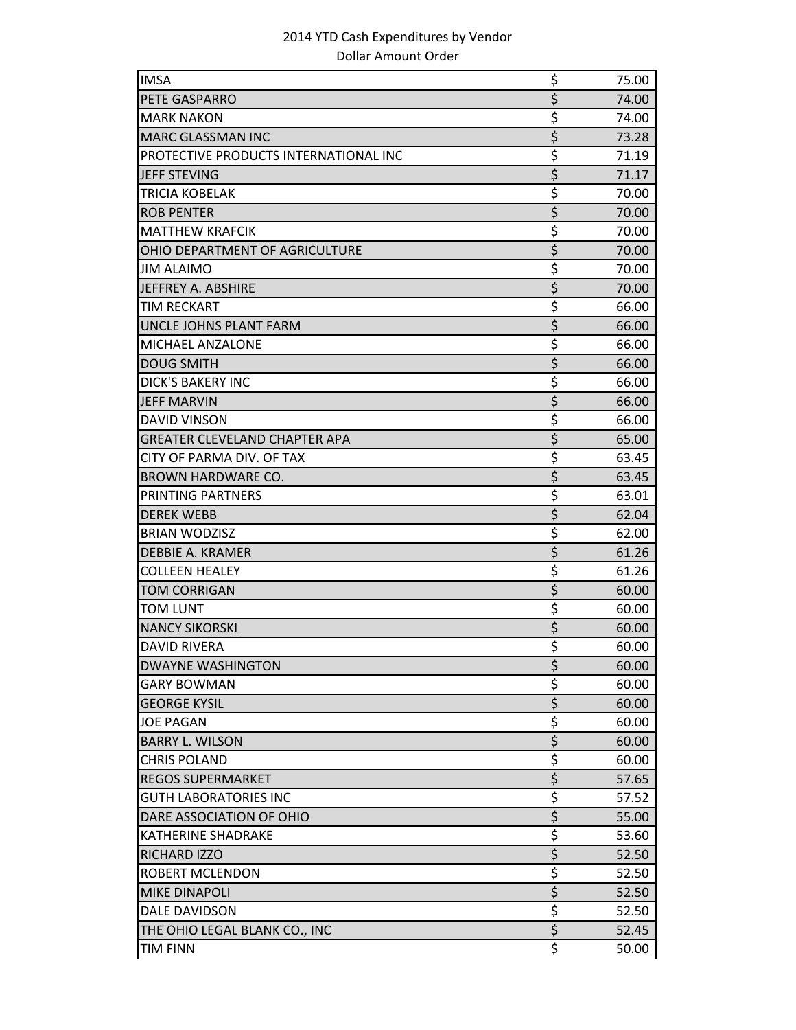| <b>IMSA</b>                           | \$                      | 75.00 |
|---------------------------------------|-------------------------|-------|
| PETE GASPARRO                         | \$                      | 74.00 |
| <b>MARK NAKON</b>                     | \$                      | 74.00 |
| <b>MARC GLASSMAN INC</b>              | $\overline{\xi}$        | 73.28 |
| PROTECTIVE PRODUCTS INTERNATIONAL INC | \$                      | 71.19 |
| <b>JEFF STEVING</b>                   | \$                      | 71.17 |
| <b>TRICIA KOBELAK</b>                 | \$                      | 70.00 |
| <b>ROB PENTER</b>                     | \$                      | 70.00 |
| <b>MATTHEW KRAFCIK</b>                | \$                      | 70.00 |
| OHIO DEPARTMENT OF AGRICULTURE        | \$                      | 70.00 |
| <b>JIM ALAIMO</b>                     | \$                      | 70.00 |
| JEFFREY A. ABSHIRE                    | \$                      | 70.00 |
| <b>TIM RECKART</b>                    | \$                      | 66.00 |
| UNCLE JOHNS PLANT FARM                | \$                      | 66.00 |
| <b>MICHAEL ANZALONE</b>               | \$                      | 66.00 |
| <b>DOUG SMITH</b>                     | $\overline{\xi}$        | 66.00 |
| <b>DICK'S BAKERY INC</b>              | \$                      | 66.00 |
| <b>JEFF MARVIN</b>                    | $\overline{\xi}$        | 66.00 |
| <b>DAVID VINSON</b>                   | \$                      | 66.00 |
| <b>GREATER CLEVELAND CHAPTER APA</b>  | \$                      | 65.00 |
| CITY OF PARMA DIV. OF TAX             | \$                      | 63.45 |
| <b>BROWN HARDWARE CO.</b>             | \$                      | 63.45 |
| PRINTING PARTNERS                     | \$                      | 63.01 |
| <b>DEREK WEBB</b>                     | \$                      | 62.04 |
| <b>BRIAN WODZISZ</b>                  | \$                      | 62.00 |
| DEBBIE A. KRAMER                      | \$                      | 61.26 |
| <b>COLLEEN HEALEY</b>                 | \$                      | 61.26 |
| <b>TOM CORRIGAN</b>                   | $\overline{\xi}$        | 60.00 |
| <b>TOM LUNT</b>                       | $\overline{\mathsf{S}}$ | 60.00 |
| <b>NANCY SIKORSKI</b>                 | \$                      | 60.00 |
| <b>DAVID RIVERA</b>                   | \$                      | 60.00 |
| <b>DWAYNE WASHINGTON</b>              | \$                      | 60.00 |
| <b>GARY BOWMAN</b>                    | \$                      | 60.00 |
| <b>GEORGE KYSIL</b>                   | $\overline{\xi}$        | 60.00 |
| <b>JOE PAGAN</b>                      | $\overline{\mathsf{S}}$ | 60.00 |
| <b>BARRY L. WILSON</b>                | \$                      | 60.00 |
| <b>CHRIS POLAND</b>                   | \$                      | 60.00 |
| <b>REGOS SUPERMARKET</b>              | \$                      | 57.65 |
| <b>GUTH LABORATORIES INC</b>          | \$                      | 57.52 |
| DARE ASSOCIATION OF OHIO              | $\overline{\xi}$        | 55.00 |
| <b>KATHERINE SHADRAKE</b>             | \$                      | 53.60 |
| RICHARD IZZO                          | $\overline{\xi}$        | 52.50 |
| <b>ROBERT MCLENDON</b>                | \$                      | 52.50 |
| <b>MIKE DINAPOLI</b>                  | \$                      | 52.50 |
| DALE DAVIDSON                         | \$                      | 52.50 |
| THE OHIO LEGAL BLANK CO., INC         | $\overline{\xi}$        | 52.45 |
| <b>TIM FINN</b>                       | \$                      | 50.00 |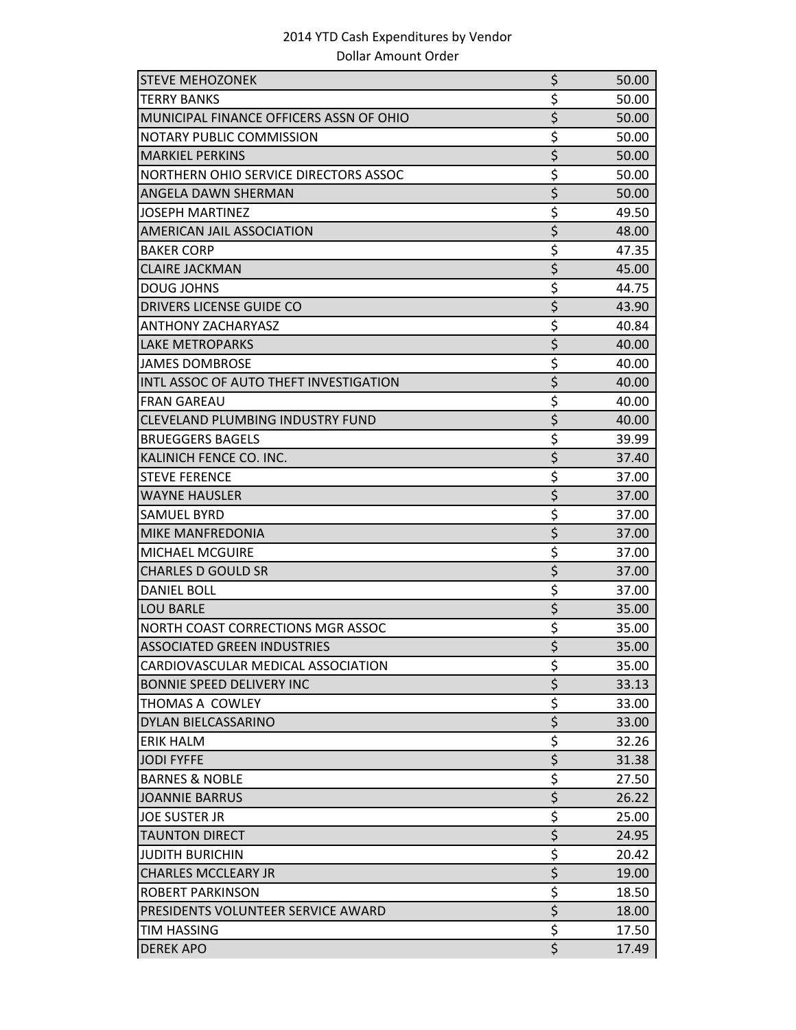| <b>STEVE MEHOZONEK</b>                  | \$                              | 50.00 |
|-----------------------------------------|---------------------------------|-------|
| TERRY BANKS                             | \$                              | 50.00 |
| MUNICIPAL FINANCE OFFICERS ASSN OF OHIO | \$                              | 50.00 |
| NOTARY PUBLIC COMMISSION                | \$                              | 50.00 |
| <b>MARKIEL PERKINS</b>                  | \$                              | 50.00 |
| NORTHERN OHIO SERVICE DIRECTORS ASSOC   | \$                              | 50.00 |
| ANGELA DAWN SHERMAN                     | \$                              | 50.00 |
| <b>JOSEPH MARTINEZ</b>                  | \$                              | 49.50 |
| <b>AMERICAN JAIL ASSOCIATION</b>        | $\overline{\xi}$                | 48.00 |
| <b>BAKER CORP</b>                       | \$                              | 47.35 |
| <b>CLAIRE JACKMAN</b>                   | \$                              | 45.00 |
| <b>DOUG JOHNS</b>                       | \$                              | 44.75 |
| DRIVERS LICENSE GUIDE CO                | \$                              | 43.90 |
| <b>ANTHONY ZACHARYASZ</b>               | \$                              | 40.84 |
| <b>LAKE METROPARKS</b>                  | \$                              | 40.00 |
| <b>JAMES DOMBROSE</b>                   | \$                              | 40.00 |
| INTL ASSOC OF AUTO THEFT INVESTIGATION  | \$                              | 40.00 |
| <b>FRAN GAREAU</b>                      | \$                              | 40.00 |
| <b>CLEVELAND PLUMBING INDUSTRY FUND</b> | \$                              | 40.00 |
| <b>BRUEGGERS BAGELS</b>                 | \$                              | 39.99 |
| KALINICH FENCE CO. INC.                 | $\overline{\xi}$                | 37.40 |
| <b>STEVE FERENCE</b>                    | \$                              | 37.00 |
| <b>WAYNE HAUSLER</b>                    | $\overline{\boldsymbol{\zeta}}$ | 37.00 |
| <b>SAMUEL BYRD</b>                      | \$                              | 37.00 |
| MIKE MANFREDONIA                        | \$                              | 37.00 |
| <b>MICHAEL MCGUIRE</b>                  | \$                              | 37.00 |
| <b>CHARLES D GOULD SR</b>               | \$                              | 37.00 |
| <b>DANIEL BOLL</b>                      | \$                              | 37.00 |
| <b>LOU BARLE</b>                        | \$                              | 35.00 |
| NORTH COAST CORRECTIONS MGR ASSOC       | \$                              | 35.00 |
| <b>ASSOCIATED GREEN INDUSTRIES</b>      | \$                              | 35.00 |
| CARDIOVASCULAR MEDICAL ASSOCIATION      | \$                              | 35.00 |
| <b>BONNIE SPEED DELIVERY INC</b>        | $\overline{\xi}$                | 33.13 |
| THOMAS A COWLEY                         | \$                              | 33.00 |
| DYLAN BIELCASSARINO                     | \$                              | 33.00 |
| <b>ERIK HALM</b>                        | \$                              | 32.26 |
| <b>JODI FYFFE</b>                       | \$                              | 31.38 |
| <b>BARNES &amp; NOBLE</b>               | \$                              | 27.50 |
| <b>JOANNIE BARRUS</b>                   | \$                              | 26.22 |
| <b>JOE SUSTER JR</b>                    | \$                              | 25.00 |
| <b>TAUNTON DIRECT</b>                   | \$                              | 24.95 |
| <b>JUDITH BURICHIN</b>                  | \$                              | 20.42 |
| <b>CHARLES MCCLEARY JR</b>              | \$                              | 19.00 |
| <b>ROBERT PARKINSON</b>                 | \$                              | 18.50 |
| PRESIDENTS VOLUNTEER SERVICE AWARD      | $\overline{\xi}$                | 18.00 |
| TIM HASSING                             | \$                              | 17.50 |
| <b>DEREK APO</b>                        | \$                              | 17.49 |